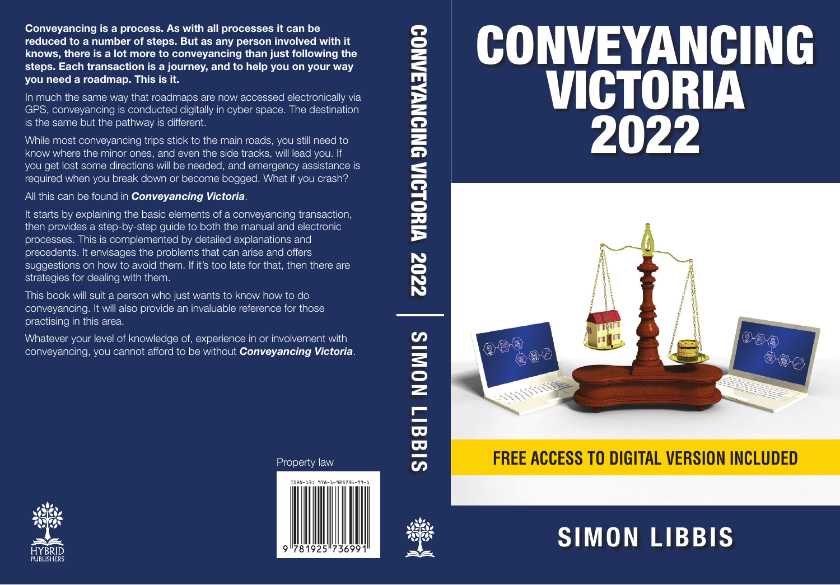# CONVEYANCING VICTORIA 2022



## **FREE ACCESS TO DIGITAL VERSION INCLUDED**

## **SIMON LIBBIS**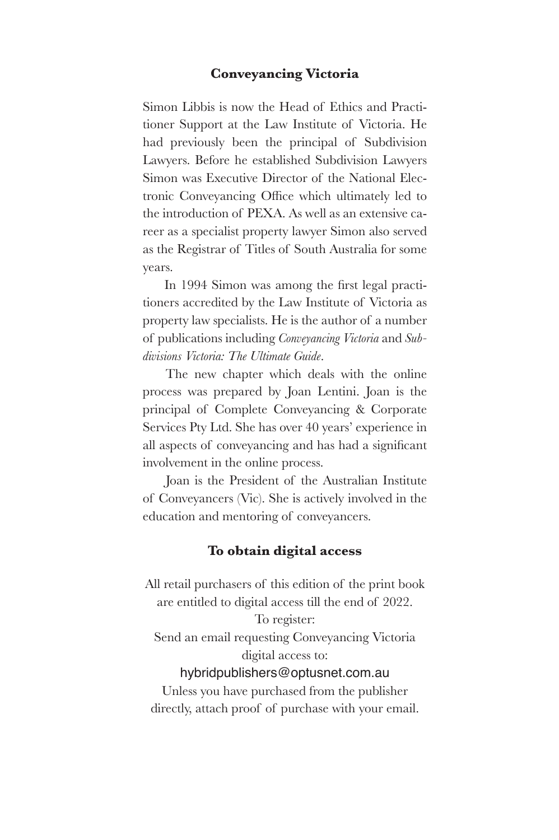#### **Conveyancing Victoria**

Simon Libbis is now the Head of Ethics and Practitioner Support at the Law Institute of Victoria. He had previously been the principal of Subdivision Lawyers. Before he established Subdivision Lawyers Simon was Executive Director of the National Elec tronic Conveyancing Office which ultimately led to the introduction of PEXA. As well as an extensive career as a specialist property lawyer Simon also served as the Registrar of Titles of South Australia for some years.

In 1994 Simon was among the first legal practitioners accredited by the Law Institute of Victoria as property law specialists. He is the author of a number of publications including *Conveyancing Victoria* and *Subdivisions Victoria: The Ultimate Guide*.

The new chapter which deals with the online process was prepared by Joan Lentini. Joan is the principal of Complete Conveyancing & Corporate Services Pty Ltd. She has over 40 years' experience in all aspects of conveyancing and has had a significant involvement in the online process.

Joan is the President of the Australian Institute of Conveyancers (Vic). She is actively involved in the education and mentoring of conveyancers.

#### **To obtain digital access**

All retail purchasers of this edition of the print book are entitled to digital access till the end of 2022. To register: Send an email requesting Conveyancing Victoria digital access to: hybridpublishers@optusnet.com.au Unless you have purchased from the publisher

directly, attach proof of purchase with your email.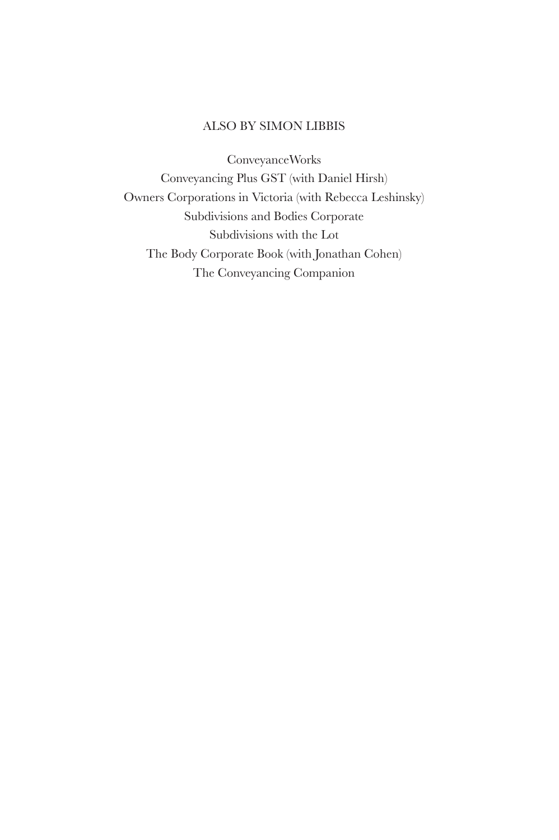#### ALSO BY SIMON LIBBIS

ConveyanceWorks Conveyancing Plus GST (with Daniel Hirsh) Owners Corporations in Victoria (with Rebecca Leshinsky) Subdivisions and Bodies Corporate Subdivisions with the Lot The Body Corporate Book (with Jonathan Cohen) The Conveyancing Companion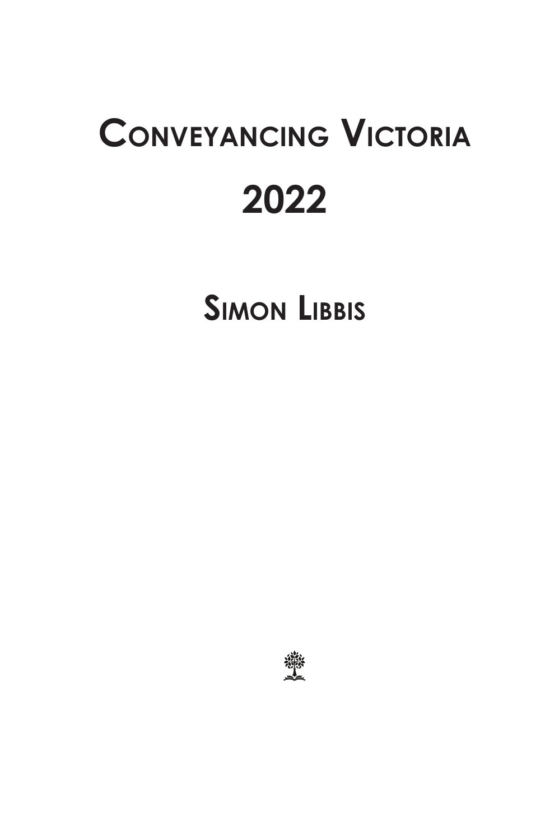## **ConveyanCing viCtoria 2022**

**Simon LibbiS**

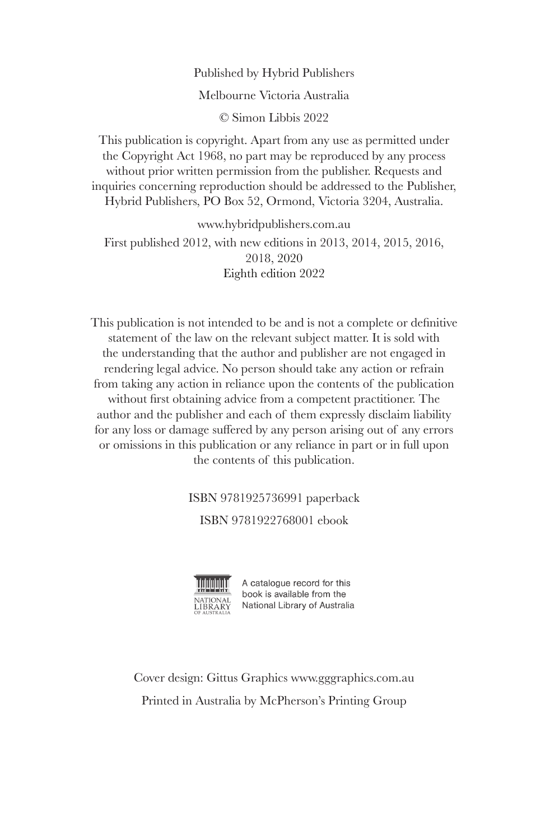#### Published by Hybrid Publishers Melbourne Victoria Australia © Simon Libbis 2022

This publication is copyright. Apart from any use as permitted under the Copyright Act 1968, no part may be reproduced by any process without prior written permission from the publisher. Requests and inquiries concerning reproduction should be addressed to the Publisher, Hybrid Publishers, PO Box 52, Ormond, Victoria 3204, Australia.

www.hybridpublishers.com.au First published 2012, with new editions in 2013, 2014, 2015, 2016, 2018, 2020 Eighth edition 2022

This publication is not intended to be and is not a complete or definitive statement of the law on the relevant subject matter. It is sold with the understanding that the author and publisher are not engaged in rendering legal advice. No person should take any action or refrain from taking any action in reliance upon the contents of the publication without first obtaining advice from a competent practitioner. The author and the publisher and each of them expressly disclaim liability for any loss or damage suffered by any person arising out of any errors or omissions in this publication or any reliance in part or in full upon the contents of this publication.

ISBN 9781925736991 paperback

ISBN 9781922768001 ebook



A catalogue record for this book is available from the National Library of Australia

Cover design: Gittus Graphics www.gggraphics.com.au Printed in Australia by McPherson's Printing Group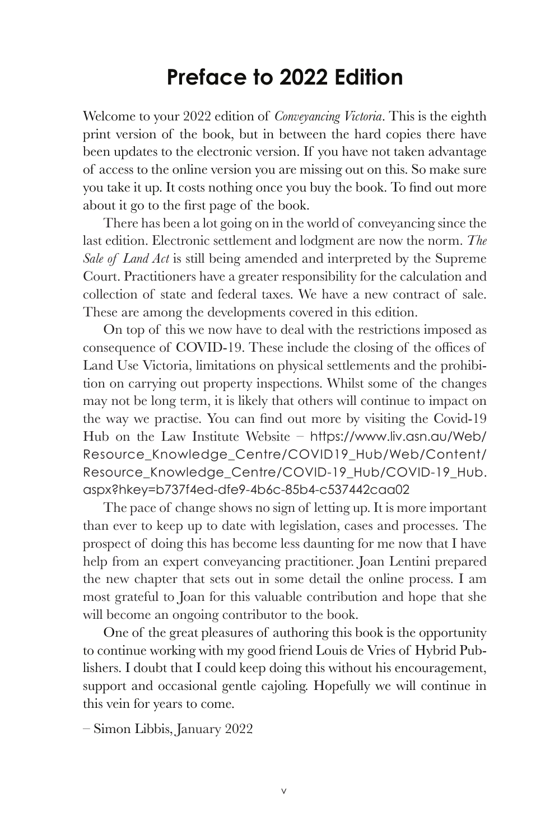### **Preface to 2022 Edition**

Welcome to your 2022 edition of *Conveyancing Victoria*. This is the eighth print version of the book, but in between the hard copies there have been updates to the electronic version. If you have not taken advantage of access to the online version you are missing out on this. So make sure you take it up. It costs nothing once you buy the book. To find out more about it go to the first page of the book.

There has been a lot going on in the world of conveyancing since the last edition. Electronic settlement and lodgment are now the norm. *The Sale of Land Act* is still being amended and interpreted by the Supreme Court. Practitioners have a greater responsibility for the calculation and collection of state and federal taxes. We have a new contract of sale. These are among the developments covered in this edition.

On top of this we now have to deal with the restrictions imposed as consequence of COVID-19. These include the closing of the offices of Land Use Victoria, limitations on physical settlements and the prohibition on carrying out property inspections. Whilst some of the changes may not be long term, it is likely that others will continue to impact on the way we practise. You can find out more by visiting the Covid-19 Hub on the Law Institute Website – https://www.liv.asn.au/Web/ Resource\_Knowledge\_Centre/COVID19\_Hub/Web/Content/ Resource\_Knowledge\_Centre/COVID-19\_Hub/COVID-19\_Hub. aspx?hkey=b737f4ed-dfe9-4b6c-85b4-c537442caa02

The pace of change shows no sign of letting up. It is more important than ever to keep up to date with legislation, cases and processes. The prospect of doing this has become less daunting for me now that I have help from an expert conveyancing practitioner. Joan Lentini prepared the new chapter that sets out in some detail the online process. I am most grateful to Joan for this valuable contribution and hope that she will become an ongoing contributor to the book.

One of the great pleasures of authoring this book is the opportunity to continue working with my good friend Louis de Vries of Hybrid Publishers. I doubt that I could keep doing this without his encouragement, support and occasional gentle cajoling. Hopefully we will continue in this vein for years to come.

– Simon Libbis, January 2022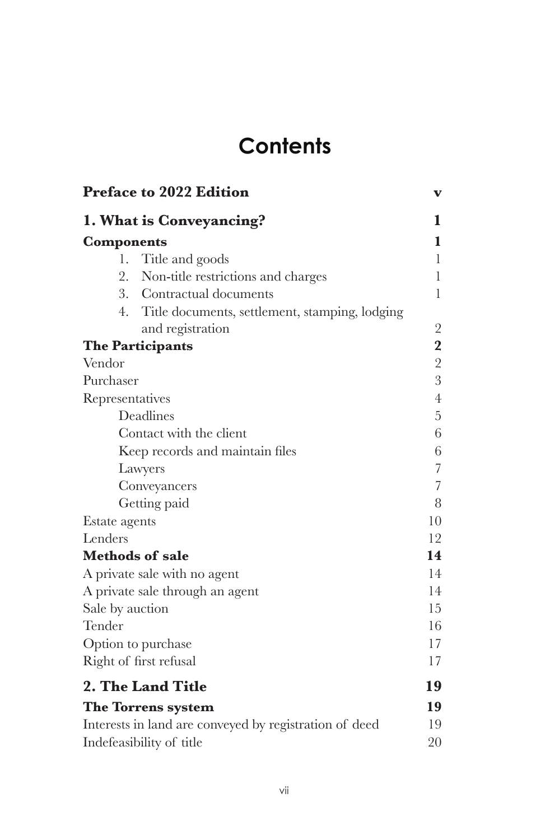## **Contents**

|                   | <b>Preface to 2022 Edition</b>                         | v                       |
|-------------------|--------------------------------------------------------|-------------------------|
|                   | 1. What is Conveyancing?                               | 1                       |
| <b>Components</b> |                                                        | 1                       |
| 1.                | Title and goods                                        | 1                       |
| 2.                | Non-title restrictions and charges                     | $\mathbf{1}$            |
|                   | 3. Contractual documents                               | $\mathbf{1}$            |
| 4.                | Title documents, settlement, stamping, lodging         |                         |
|                   | and registration                                       | $\sqrt{2}$              |
|                   | <b>The Participants</b>                                | $\overline{\mathbf{2}}$ |
| Vendor            |                                                        | $\overline{2}$          |
| Purchaser         |                                                        | 3                       |
| Representatives   |                                                        | $\overline{4}$          |
|                   | Deadlines                                              | $\overline{5}$          |
|                   | Contact with the client                                | 6                       |
|                   | Keep records and maintain files                        | 6                       |
|                   | Lawyers                                                | $\sqrt{ }$              |
|                   | Conveyancers                                           | 7                       |
|                   | Getting paid                                           | 8                       |
| Estate agents     |                                                        | 10                      |
| Lenders           |                                                        | 12                      |
|                   | <b>Methods of sale</b>                                 | 14                      |
|                   | A private sale with no agent                           | 14                      |
|                   | A private sale through an agent                        | 14                      |
| Sale by auction   |                                                        | 15                      |
| Tender            |                                                        | 16                      |
|                   | Option to purchase                                     | 17<br>17                |
|                   | Right of first refusal                                 |                         |
|                   | 2. The Land Title                                      | 19                      |
|                   | The Torrens system                                     | 19                      |
|                   | Interests in land are conveyed by registration of deed | 19                      |
|                   | Indefeasibility of title                               | 20                      |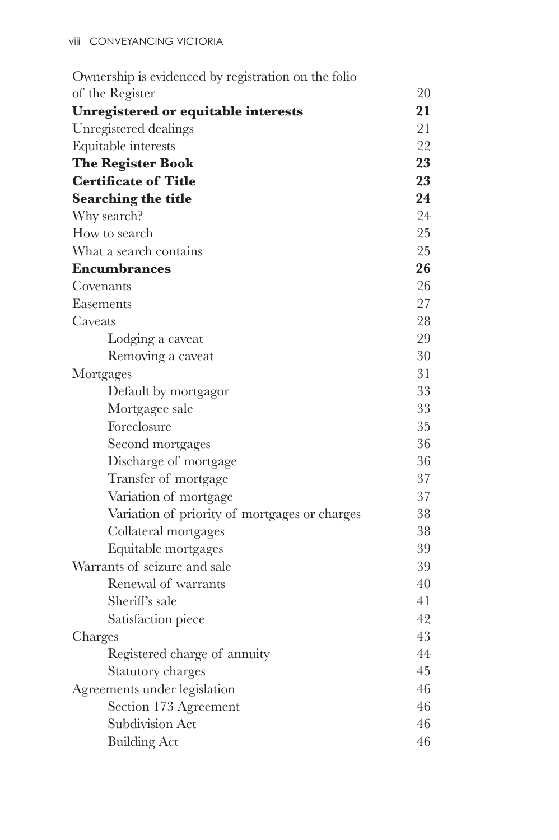| Ownership is evidenced by registration on the folio |    |
|-----------------------------------------------------|----|
| of the Register                                     | 20 |
| Unregistered or equitable interests                 | 21 |
| Unregistered dealings                               | 21 |
| Equitable interests                                 | 22 |
| <b>The Register Book</b>                            | 23 |
| <b>Certificate of Title</b>                         | 23 |
| <b>Searching the title</b>                          | 24 |
| Why search?                                         | 24 |
| How to search                                       | 25 |
| What a search contains                              | 25 |
| <b>Encumbrances</b>                                 | 26 |
| Covenants                                           | 26 |
| Easements                                           | 27 |
| Caveats                                             | 28 |
| Lodging a caveat                                    | 29 |
| Removing a caveat                                   | 30 |
| Mortgages                                           | 31 |
| Default by mortgagor                                | 33 |
| Mortgagee sale                                      | 33 |
| Foreclosure                                         | 35 |
| Second mortgages                                    | 36 |
| Discharge of mortgage                               | 36 |
| Transfer of mortgage                                | 37 |
| Variation of mortgage                               | 37 |
| Variation of priority of mortgages or charges       | 38 |
| Collateral mortgages                                | 38 |
| Equitable mortgages                                 | 39 |
| Warrants of seizure and sale                        | 39 |
| Renewal of warrants                                 | 40 |
| Sheriff's sale                                      | 41 |
| Satisfaction piece                                  | 42 |
| Charges                                             | 43 |
| Registered charge of annuity                        | 44 |
| <b>Statutory charges</b>                            | 45 |
| Agreements under legislation                        | 46 |
| Section 173 Agreement                               | 46 |
| Subdivision Act                                     | 46 |
| <b>Building Act</b>                                 | 46 |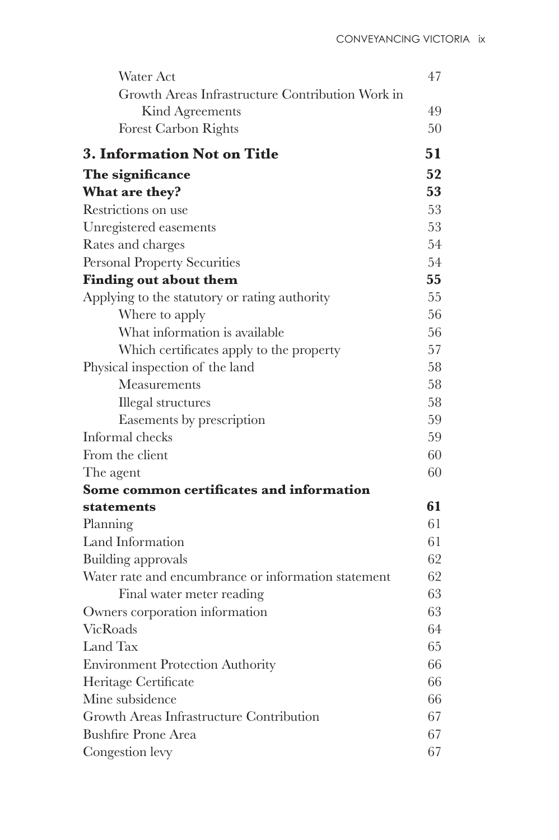| Water Act                                           | 47 |
|-----------------------------------------------------|----|
| Growth Areas Infrastructure Contribution Work in    |    |
| Kind Agreements                                     | 49 |
| <b>Forest Carbon Rights</b>                         | 50 |
| <b>3. Information Not on Title</b>                  | 51 |
| The significance                                    | 52 |
| What are they?                                      | 53 |
| Restrictions on use                                 | 53 |
| Unregistered easements                              | 53 |
| Rates and charges                                   | 54 |
| Personal Property Securities                        | 54 |
| <b>Finding out about them</b>                       | 55 |
| Applying to the statutory or rating authority       | 55 |
| Where to apply                                      | 56 |
| What information is available                       | 56 |
| Which certificates apply to the property            | 57 |
| Physical inspection of the land                     | 58 |
| Measurements                                        | 58 |
| <b>Illegal</b> structures                           | 58 |
| Easements by prescription                           | 59 |
| Informal checks                                     | 59 |
| From the client                                     | 60 |
| The agent                                           | 60 |
| Some common certificates and information            |    |
| statements                                          | 61 |
| Planning                                            | 61 |
| Land Information                                    | 61 |
| Building approvals                                  | 62 |
| Water rate and encumbrance or information statement | 62 |
| Final water meter reading                           | 63 |
| Owners corporation information                      | 63 |
| VicRoads                                            | 64 |
| Land Tax                                            | 65 |
| <b>Environment Protection Authority</b>             | 66 |
| Heritage Certificate                                | 66 |
| Mine subsidence                                     | 66 |
| Growth Areas Infrastructure Contribution            | 67 |
| <b>Bushfire Prone Area</b>                          | 67 |
| Congestion levy                                     | 67 |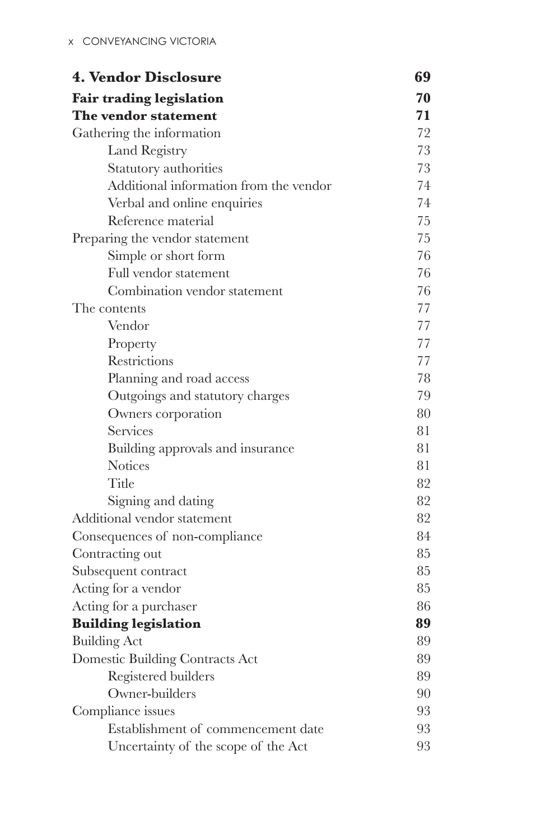| <b>4. Vendor Disclosure</b>            | 69 |
|----------------------------------------|----|
| Fair trading legislation               | 70 |
| The vendor statement                   | 71 |
| Gathering the information              | 72 |
| Land Registry                          | 73 |
| Statutory authorities                  | 73 |
| Additional information from the vendor | 74 |
| Verbal and online enquiries            | 74 |
| Reference material                     | 75 |
| Preparing the vendor statement         | 75 |
| Simple or short form                   | 76 |
| Full vendor statement                  | 76 |
| Combination vendor statement           | 76 |
| The contents                           | 77 |
| Vendor                                 | 77 |
| Property                               | 77 |
| Restrictions                           | 77 |
| Planning and road access               | 78 |
| Outgoings and statutory charges        | 79 |
| Owners corporation                     | 80 |
| Services                               | 81 |
| Building approvals and insurance       | 81 |
| <b>Notices</b>                         | 81 |
| Title                                  | 82 |
| Signing and dating                     | 82 |
| Additional vendor statement            | 82 |
| Consequences of non-compliance         | 84 |
| Contracting out                        | 85 |
| Subsequent contract                    | 85 |
| Acting for a vendor                    | 85 |
| Acting for a purchaser                 | 86 |
| <b>Building legislation</b>            | 89 |
| <b>Building Act</b>                    | 89 |
| Domestic Building Contracts Act        | 89 |
| Registered builders                    | 89 |
| Owner-builders                         | 90 |
| Compliance issues                      | 93 |
| Establishment of commencement date     | 93 |
| Uncertainty of the scope of the Act    | 93 |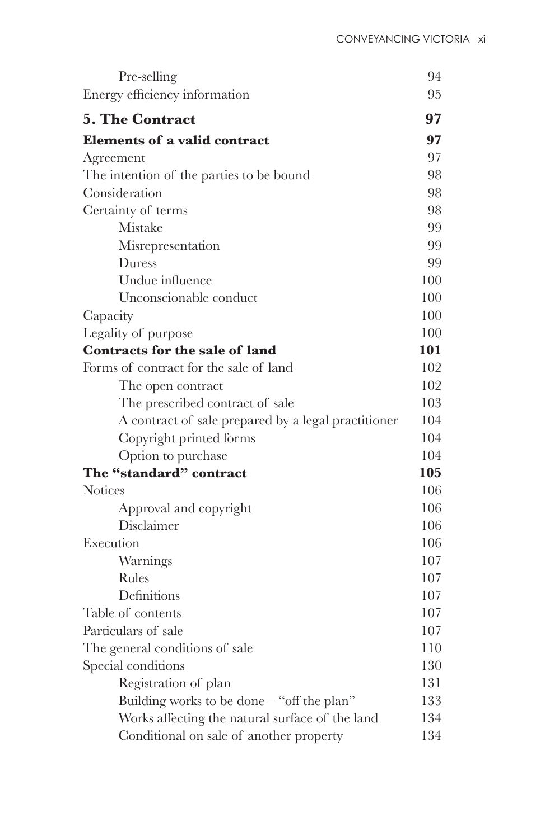| Pre-selling                                         | 94  |
|-----------------------------------------------------|-----|
| Energy efficiency information                       | 95  |
| <b>5. The Contract</b>                              | 97  |
| <b>Elements of a valid contract</b>                 | 97  |
| Agreement                                           | 97  |
| The intention of the parties to be bound            | 98  |
| Consideration                                       | 98  |
| Certainty of terms                                  | 98  |
| Mistake                                             | 99  |
| Misrepresentation                                   | 99  |
| Duress                                              | 99  |
| Undue influence                                     | 100 |
| Unconscionable conduct                              | 100 |
| Capacity                                            | 100 |
| Legality of purpose                                 | 100 |
| Contracts for the sale of land                      | 101 |
| Forms of contract for the sale of land              | 102 |
| The open contract                                   | 102 |
| The prescribed contract of sale                     | 103 |
| A contract of sale prepared by a legal practitioner | 104 |
| Copyright printed forms                             | 104 |
| Option to purchase                                  | 104 |
| The "standard" contract                             | 105 |
| <b>Notices</b>                                      | 106 |
| Approval and copyright                              | 106 |
| Disclaimer                                          | 106 |
| Execution                                           | 106 |
| Warnings                                            | 107 |
| Rules                                               | 107 |
| Definitions                                         | 107 |
| Table of contents                                   | 107 |
| Particulars of sale                                 | 107 |
| The general conditions of sale                      | 110 |
| Special conditions                                  | 130 |
| Registration of plan                                | 131 |
| Building works to be done $-$ "off the plan"        | 133 |
| Works affecting the natural surface of the land     | 134 |
| Conditional on sale of another property             | 134 |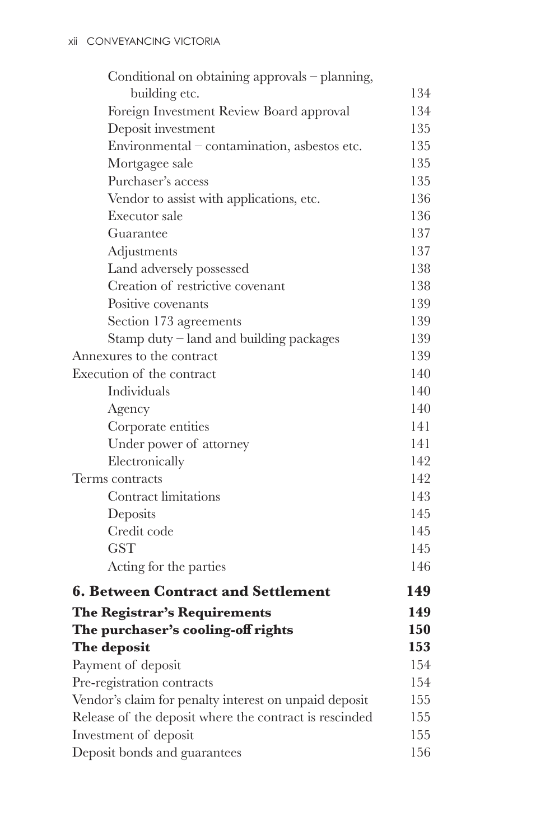| Conditional on obtaining approvals – planning,         |     |
|--------------------------------------------------------|-----|
| building etc.                                          | 134 |
| Foreign Investment Review Board approval               | 134 |
| Deposit investment                                     | 135 |
| Environmental – contamination, asbestos etc.           | 135 |
| Mortgagee sale                                         | 135 |
| Purchaser's access                                     | 135 |
| Vendor to assist with applications, etc.               | 136 |
| Executor sale                                          | 136 |
| Guarantee                                              | 137 |
| Adjustments                                            | 137 |
| Land adversely possessed                               | 138 |
| Creation of restrictive covenant                       | 138 |
| Positive covenants                                     | 139 |
| Section 173 agreements                                 | 139 |
| Stamp duty $-$ land and building packages              | 139 |
| Annexures to the contract                              | 139 |
| Execution of the contract                              | 140 |
| Individuals                                            | 140 |
| Agency                                                 | 140 |
| Corporate entities                                     | 141 |
| Under power of attorney                                | 141 |
| Electronically                                         | 142 |
| Terms contracts                                        | 142 |
| Contract limitations                                   | 143 |
| Deposits                                               | 145 |
| Credit code                                            | 145 |
| <b>GST</b>                                             | 145 |
| Acting for the parties                                 | 146 |
| <b>6. Between Contract and Settlement</b>              | 149 |
| The Registrar's Requirements                           | 149 |
| The purchaser's cooling-off rights                     | 150 |
| The deposit                                            | 153 |
| Payment of deposit                                     | 154 |
| Pre-registration contracts                             | 154 |
| Vendor's claim for penalty interest on unpaid deposit  | 155 |
| Release of the deposit where the contract is rescinded | 155 |
| Investment of deposit                                  | 155 |
| Deposit bonds and guarantees                           | 156 |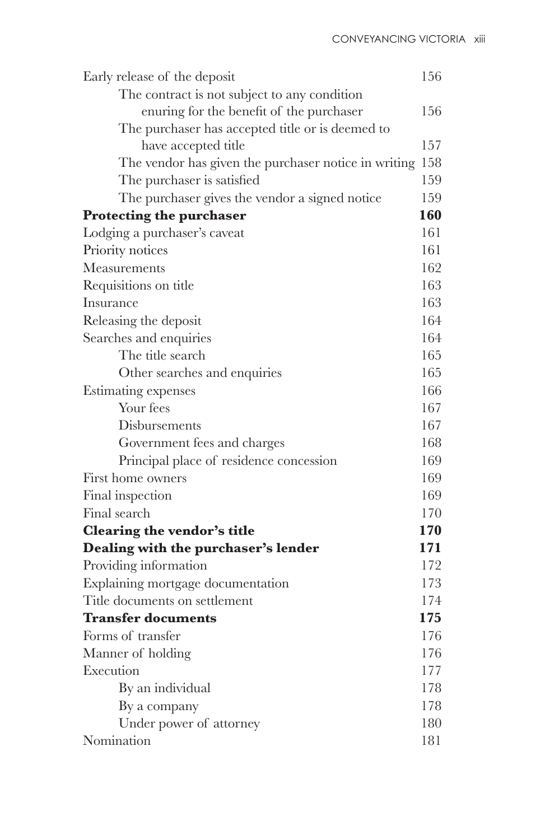| Early release of the deposit                         | 156 |
|------------------------------------------------------|-----|
| The contract is not subject to any condition         |     |
| enuring for the benefit of the purchaser             | 156 |
| The purchaser has accepted title or is deemed to     |     |
| have accepted title                                  | 157 |
| The vendor has given the purchaser notice in writing | 158 |
| The purchaser is satisfied                           | 159 |
| The purchaser gives the vendor a signed notice       | 159 |
| <b>Protecting the purchaser</b>                      | 160 |
| Lodging a purchaser's caveat                         | 161 |
| Priority notices                                     | 161 |
| Measurements                                         | 162 |
| Requisitions on title                                | 163 |
| Insurance                                            | 163 |
| Releasing the deposit                                | 164 |
| Searches and enquiries                               | 164 |
| The title search                                     | 165 |
| Other searches and enquiries                         | 165 |
| Estimating expenses                                  | 166 |
| Your fees                                            | 167 |
| Disbursements                                        | 167 |
| Government fees and charges                          | 168 |
| Principal place of residence concession              | 169 |
| First home owners                                    | 169 |
| Final inspection                                     | 169 |
| Final search                                         | 170 |
| Clearing the vendor's title                          | 170 |
| Dealing with the purchaser's lender                  | 171 |
| Providing information                                | 172 |
| Explaining mortgage documentation                    | 173 |
| Title documents on settlement                        | 174 |
| <b>Transfer documents</b>                            | 175 |
| Forms of transfer                                    | 176 |
| Manner of holding                                    | 176 |
| Execution                                            | 177 |
| By an individual                                     | 178 |
| By a company                                         | 178 |
| Under power of attorney                              | 180 |
| Nomination                                           | 181 |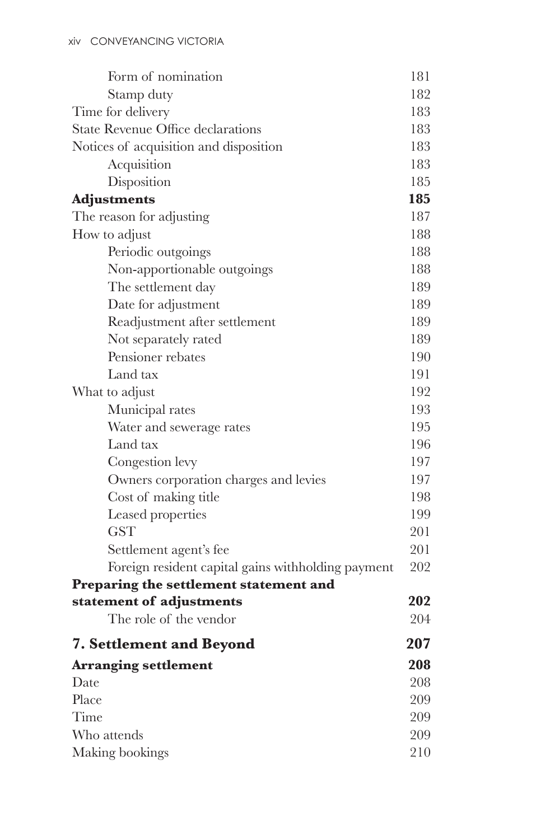| Form of nomination                                 | 181 |
|----------------------------------------------------|-----|
| Stamp duty                                         | 182 |
| Time for delivery                                  |     |
| <b>State Revenue Office declarations</b>           |     |
| Notices of acquisition and disposition             | 183 |
| Acquisition                                        | 183 |
| Disposition                                        | 185 |
| <b>Adjustments</b>                                 | 185 |
| The reason for adjusting                           | 187 |
| How to adjust                                      | 188 |
| Periodic outgoings                                 | 188 |
| Non-apportionable outgoings                        | 188 |
| The settlement day                                 | 189 |
| Date for adjustment                                | 189 |
| Readjustment after settlement                      | 189 |
| Not separately rated                               | 189 |
| Pensioner rebates                                  | 190 |
| Land tax                                           | 191 |
| What to adjust                                     | 192 |
| Municipal rates                                    | 193 |
| Water and sewerage rates                           | 195 |
| Land tax                                           | 196 |
| Congestion levy                                    | 197 |
| Owners corporation charges and levies              | 197 |
| Cost of making title                               | 198 |
| Leased properties                                  | 199 |
| <b>GST</b>                                         | 201 |
| Settlement agent's fee                             | 201 |
| Foreign resident capital gains withholding payment | 202 |
| Preparing the settlement statement and             |     |
| statement of adjustments                           | 202 |
| The role of the vendor                             | 204 |
| <b>7. Settlement and Beyond</b>                    | 207 |
| <b>Arranging settlement</b>                        | 208 |
| Date                                               | 208 |
| Place                                              | 209 |
| Time                                               |     |
| Who attends                                        |     |
| Making bookings                                    |     |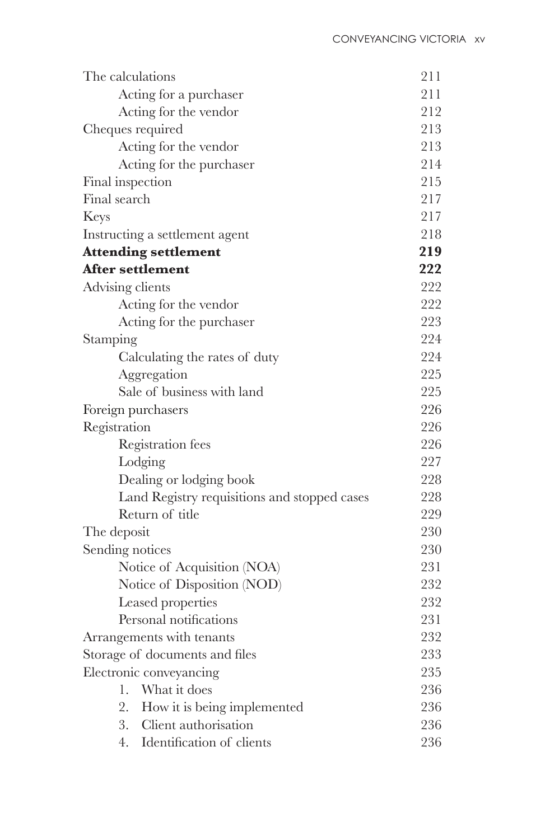| The calculations                             | 211 |
|----------------------------------------------|-----|
| Acting for a purchaser                       | 211 |
| Acting for the vendor                        | 212 |
| Cheques required                             | 213 |
| Acting for the vendor                        | 213 |
| Acting for the purchaser                     | 214 |
| Final inspection                             | 215 |
| Final search                                 | 217 |
| Keys                                         | 217 |
| Instructing a settlement agent               | 218 |
| <b>Attending settlement</b>                  | 219 |
| <b>After settlement</b>                      | 222 |
| Advising clients                             | 222 |
| Acting for the vendor                        | 222 |
| Acting for the purchaser                     | 223 |
| Stamping                                     | 224 |
| Calculating the rates of duty                | 224 |
| Aggregation                                  | 225 |
| Sale of business with land                   | 225 |
| Foreign purchasers                           | 226 |
| Registration                                 | 226 |
| Registration fees                            | 226 |
| Lodging                                      | 227 |
| Dealing or lodging book                      | 228 |
| Land Registry requisitions and stopped cases | 228 |
| Return of title                              | 229 |
| The deposit                                  | 230 |
| Sending notices                              | 230 |
| Notice of Acquisition (NOA)                  | 231 |
| Notice of Disposition (NOD)                  | 232 |
| Leased properties                            | 232 |
| Personal notifications                       | 231 |
| Arrangements with tenants                    | 232 |
| Storage of documents and files               | 233 |
| Electronic conveyancing                      | 235 |
| What it does<br>1.                           | 236 |
| 2.<br>How it is being implemented            | 236 |
| Client authorisation<br>3.                   | 236 |
| Identification of clients<br>4.              | 236 |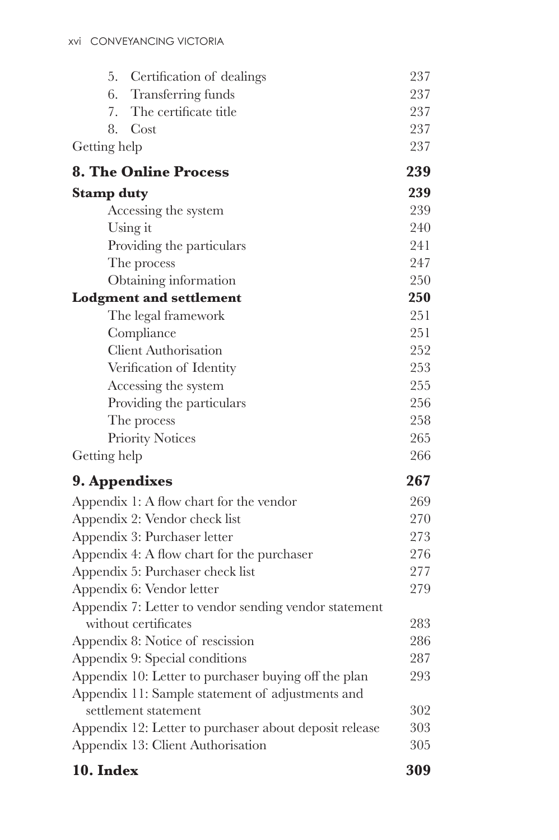| 5.<br>Certification of dealings                        | 237 |
|--------------------------------------------------------|-----|
| Transferring funds<br>6.                               | 237 |
| The certificate title<br>7.                            | 237 |
| Cost<br>8.                                             | 237 |
| Getting help                                           | 237 |
| <b>8. The Online Process</b>                           | 239 |
| <b>Stamp duty</b>                                      | 239 |
| Accessing the system                                   | 239 |
| Using it                                               | 240 |
| Providing the particulars                              | 241 |
| The process                                            | 247 |
| Obtaining information                                  | 250 |
| <b>Lodgment and settlement</b>                         | 250 |
| The legal framework                                    | 251 |
| Compliance                                             | 251 |
| <b>Client Authorisation</b>                            | 252 |
| Verification of Identity                               | 253 |
| Accessing the system                                   | 255 |
| Providing the particulars                              | 256 |
| The process                                            | 258 |
| <b>Priority Notices</b>                                | 265 |
| Getting help                                           | 266 |
| 9. Appendixes                                          | 267 |
| Appendix 1: A flow chart for the vendor                | 269 |
| Appendix 2: Vendor check list                          | 270 |
| Appendix 3: Purchaser letter                           | 273 |
| Appendix 4: A flow chart for the purchaser             | 276 |
| Appendix 5: Purchaser check list                       | 277 |
| Appendix 6: Vendor letter                              | 279 |
| Appendix 7: Letter to vendor sending vendor statement  |     |
| without certificates                                   | 283 |
| Appendix 8: Notice of rescission                       | 286 |
| Appendix 9: Special conditions                         | 287 |
| Appendix 10: Letter to purchaser buying off the plan   | 293 |
| Appendix 11: Sample statement of adjustments and       |     |
| settlement statement                                   | 302 |
| Appendix 12: Letter to purchaser about deposit release | 303 |
| Appendix 13: Client Authorisation                      | 305 |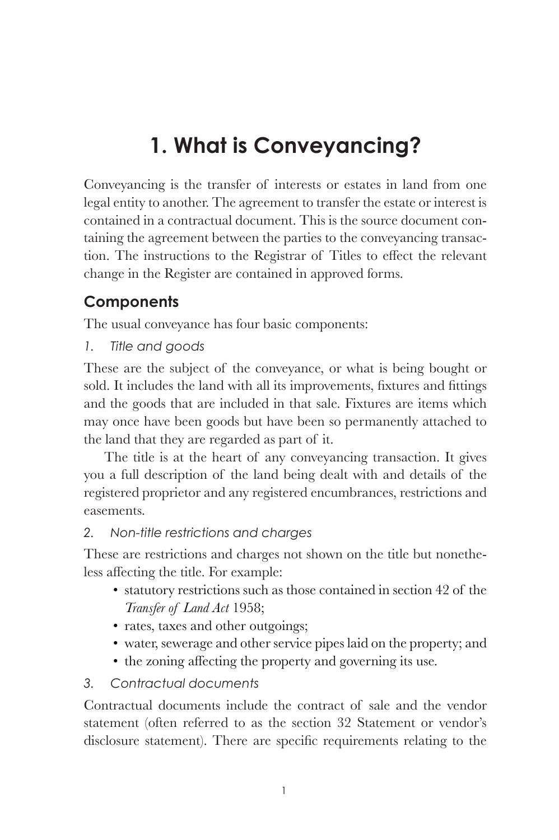## **1. What is Conveyancing?**

Conveyancing is the transfer of interests or estates in land from one legal entity to another. The agreement to transfer the estate or interest is contained in a contractual document. This is the source document containing the agreement between the parties to the conveyancing transac tion. The instructions to the Registrar of Titles to effect the relevant change in the Register are contained in approved forms.

#### **Components**

The usual conveyance has four basic components:

*1. Title and goods*

These are the subject of the conveyance, or what is being bought or sold. It includes the land with all its improvements, fixtures and fittings and the goods that are included in that sale. Fixtures are items which may once have been goods but have been so permanently attached to the land that they are regarded as part of it.

The title is at the heart of any conveyancing transaction. It gives you a full description of the land being dealt with and details of the registered proprietor and any registered encumbrances, restrictions and easements.

#### *2. Non-title restrictions and charges*

These are restrictions and charges not shown on the title but nonetheless affecting the title. For example:

- statutory restrictions such as those contained in section 42 of the *Transfer of Land Act* 1958;
- rates, taxes and other outgoings;
- water, sewerage and other service pipes laid on the property; and
- $\bullet$  the zoning affecting the property and governing its use.

#### *3. Contractual documents*

Contractual documents include the contract of sale and the vendor statement (often referred to as the section 32 Statement or vendor's disclosure statement). There are specific requirements relating to the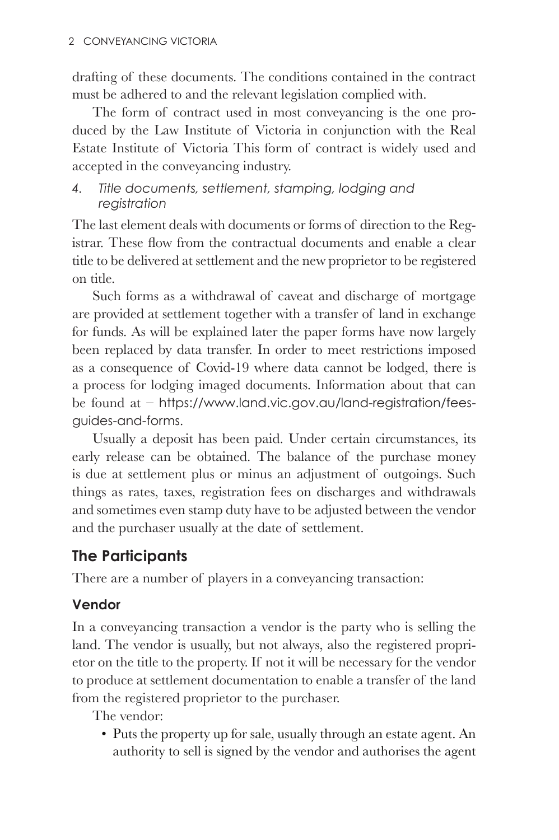drafting of these documents. The conditions contained in the contract must be adhered to and the relevant legislation complied with.

The form of contract used in most conveyancing is the one produced by the Law Institute of Victoria in conjunction with the Real Estate Institute of Victoria This form of contract is widely used and accepted in the conveyancing industry.

#### *4. Title documents, settlement, stamping, lodging and registration*

The last element deals with documents or forms of direction to the Registrar. These flow from the contractual documents and enable a clear title to be delivered at settlement and the new proprietor to be registered on title.

Such forms as a withdrawal of caveat and discharge of mortgage are provided at settlement together with a transfer of land in exchange for funds. As will be explained later the paper forms have now largely been replaced by data transfer. In order to meet restrictions imposed as a consequence of Covid-19 where data cannot be lodged, there is a process for lodging imaged documents. Information about that can be found at – https://www.land.vic.gov.au/land-registration/feesguides-and-forms.

Usually a deposit has been paid. Under certain circumstances, its early release can be obtained. The balance of the purchase money is due at settlement plus or minus an adjustment of outgoings. Such things as rates, taxes, registration fees on discharges and withdrawals and sometimes even stamp duty have to be adjusted between the vendor and the purchaser usually at the date of settlement.

#### **The Participants**

There are a number of players in a conveyancing transaction:

#### **Vendor**

In a conveyancing transaction a vendor is the party who is selling the land. The vendor is usually, but not always, also the registered proprietor on the title to the property. If not it will be necessary for the vendor to produce at settlement documentation to enable a transfer of the land from the registered proprietor to the purchaser.

The vendor:

• Puts the property up for sale, usually through an estate agent. An authority to sell is signed by the vendor and authorises the agent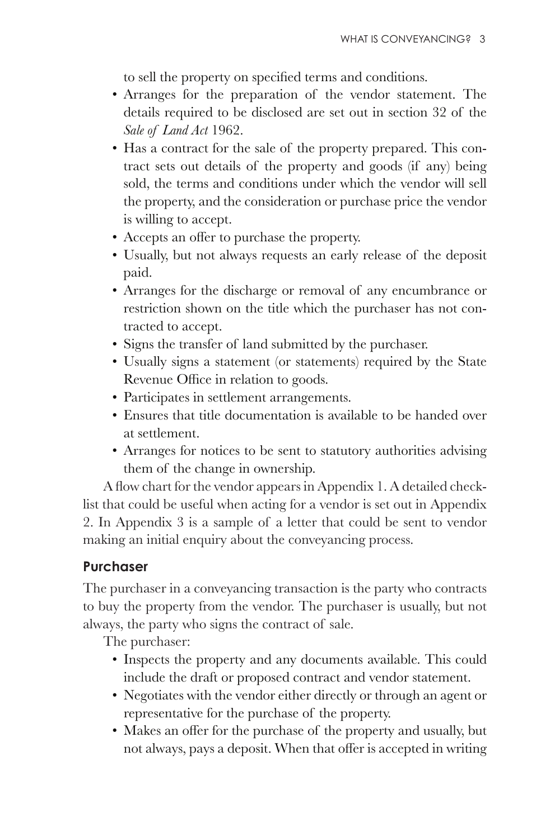to sell the property on specified terms and conditions.

- Arranges for the preparation of the vendor statement. The details required to be disclosed are set out in section 32 of the *Sale of Land Act* 1962.
- Has a contract for the sale of the property prepared. This contract sets out details of the property and goods (if any) being sold, the terms and conditions under which the vendor will sell the property, and the consideration or purchase price the vendor is willing to accept.
- Accepts an offer to purchase the property.
- Usually, but not always requests an early release of the deposit paid.
- Arranges for the discharge or removal of any encumbrance or restriction shown on the title which the purchaser has not contracted to accept.
- Signs the transfer of land submitted by the purchaser.
- Usually signs a statement (or statements) required by the State Revenue Office in relation to goods.
- Participates in settlement arrangements.
- Ensures that title documentation is available to be handed over at settlement.
- Arranges for notices to be sent to statutory authorities advising them of the change in ownership.

A flow chart for the vendor appears in Appendix 1. A detailed checklist that could be useful when acting for a vendor is set out in Appendix 2. In Appendix 3 is a sample of a letter that could be sent to vendor making an initial enquiry about the conveyancing process.

#### **Purchaser**

The purchaser in a conveyancing transaction is the party who contracts to buy the property from the vendor. The purchaser is usually, but not always, the party who signs the contract of sale.

The purchaser:

- Inspects the property and any documents available. This could include the draft or proposed contract and vendor statement.
- Negotiates with the vendor either directly or through an agent or representative for the purchase of the property.
- Makes an offer for the purchase of the property and usually, but not always, pays a deposit. When that offer is accepted in writing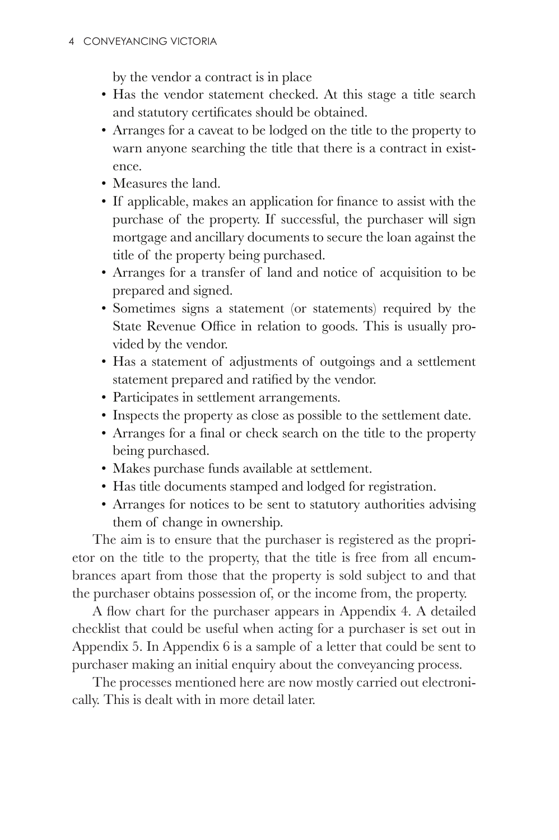by the vendor a contract is in place

- Has the vendor statement checked. At this stage a title search and statutory certificates should be obtained.
- Arranges for a caveat to be lodged on the title to the property to warn anyone searching the title that there is a contract in existence.
- Measures the land.
- If applicable, makes an application for finance to assist with the purchase of the property. If successful, the purchaser will sign mortgage and ancillary documents to secure the loan against the title of the property being purchased.
- Arranges for a transfer of land and notice of acquisition to be prepared and signed.
- Sometimes signs a statement (or statements) required by the State Revenue Office in relation to goods. This is usually provided by the vendor.
- Has a statement of adjustments of outgoings and a settlement statement prepared and ratified by the vendor.
- Participates in settlement arrangements.
- Inspects the property as close as possible to the settlement date.
- Arranges for a final or check search on the title to the property being purchased.
- Makes purchase funds available at settlement.
- Has title documents stamped and lodged for registration.
- Arranges for notices to be sent to statutory authorities advising them of change in ownership.

The aim is to ensure that the purchaser is registered as the proprietor on the title to the property, that the title is free from all encumbrances apart from those that the property is sold subject to and that the purchaser obtains possession of, or the income from, the property.

A flow chart for the purchaser appears in Appendix 4. A detailed checklist that could be useful when acting for a purchaser is set out in Appendix 5. In Appendix 6 is a sample of a letter that could be sent to purchaser making an initial enquiry about the conveyancing process.

The processes mentioned here are now mostly carried out electronically. This is dealt with in more detail later.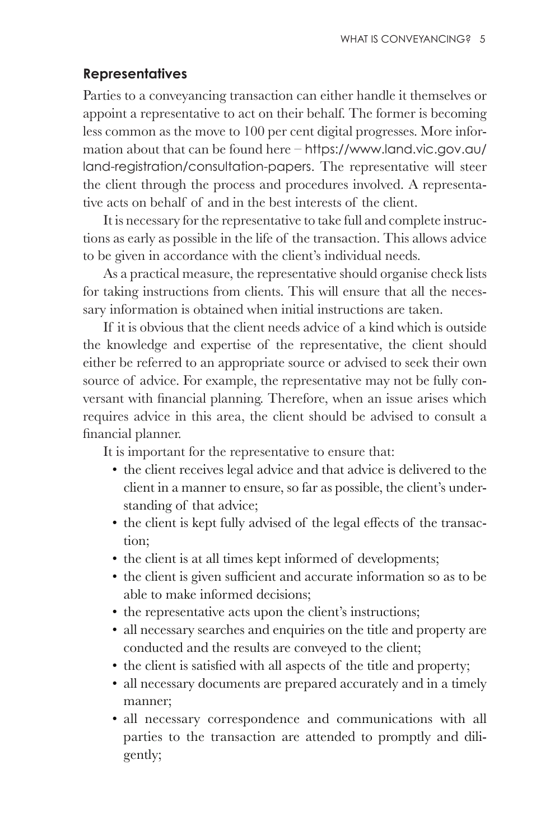#### **Representatives**

Parties to a conveyancing transaction can either handle it themselves or appoint a representative to act on their behalf. The former is becoming less common as the move to 100 per cent digital progresses. More information about that can be found here – https://www.land.vic.gov.au/ land-registration/consultation-papers. The representative will steer the client through the process and procedures involved. A representative acts on behalf of and in the best interests of the client.

It is necessary for the representative to take full and complete instructions as early as possible in the life of the transaction. This allows advice to be given in accordance with the client's individual needs.

As a practical measure, the representative should organise check lists for taking instructions from clients. This will ensure that all the necessary information is obtained when initial instructions are taken.

If it is obvious that the client needs advice of a kind which is outside the knowledge and expertise of the representative, the client should either be referred to an appropriate source or advised to seek their own source of advice. For example, the representative may not be fully con versant with financial planning. Therefore, when an issue arises which requires advice in this area, the client should be advised to consult a financial planner.

It is important for the representative to ensure that:

- the client receives legal advice and that advice is delivered to the client in a manner to ensure, so far as possible, the client's understanding of that advice;
- the client is kept fully advised of the legal effects of the transaction;
- the client is at all times kept informed of developments;
- the client is given sufficient and accurate information so as to be able to make informed decisions;
- the representative acts upon the client's instructions;
- all necessary searches and enquiries on the title and property are conducted and the results are conveyed to the client;
- the client is satisfied with all aspects of the title and property;
- all necessary documents are prepared accurately and in a timely manner;
- all necessary correspondence and communications with all parties to the transaction are attended to promptly and diligently;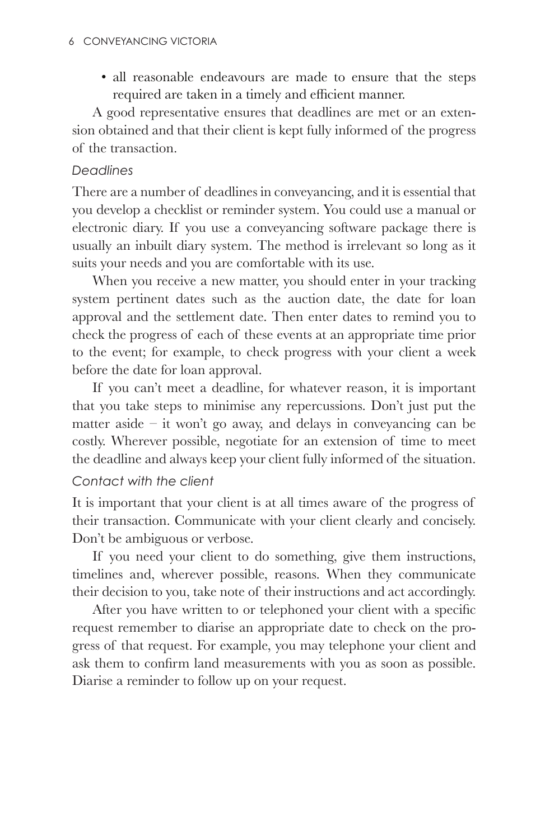• all reasonable endeavours are made to ensure that the steps required are taken in a timely and efficient manner.

A good representative ensures that deadlines are met or an extension obtained and that their client is kept fully informed of the progress of the transaction.

#### *Deadlines*

There are a number of deadlines in conveyancing, and it is essential that you develop a checklist or reminder system. You could use a manual or electronic diary. If you use a conveyancing software package there is usually an inbuilt diary system. The method is irrelevant so long as it suits your needs and you are comfortable with its use.

When you receive a new matter, you should enter in your tracking system pertinent dates such as the auction date, the date for loan approval and the settlement date. Then enter dates to remind you to check the progress of each of these events at an appropriate time prior to the event; for example, to check progress with your client a week before the date for loan approval.

If you can't meet a deadline, for whatever reason, it is important that you take steps to minimise any repercussions. Don't just put the matter aside – it won't go away, and delays in conveyancing can be costly. Wherever possible, negotiate for an extension of time to meet the deadline and always keep your client fully informed of the situation.

#### *Contact with the client*

It is important that your client is at all times aware of the progress of their transaction. Communicate with your client clearly and concisely. Don't be ambiguous or verbose.

If you need your client to do something, give them instructions, timelines and, wherever possible, reasons. When they communicate their decision to you, take note of their instructions and act accordingly.

After you have written to or telephoned your client with a specific request remember to diarise an appropriate date to check on the progress of that request. For example, you may telephone your client and ask them to confirm land measurements with you as soon as possible. Diarise a reminder to follow up on your request.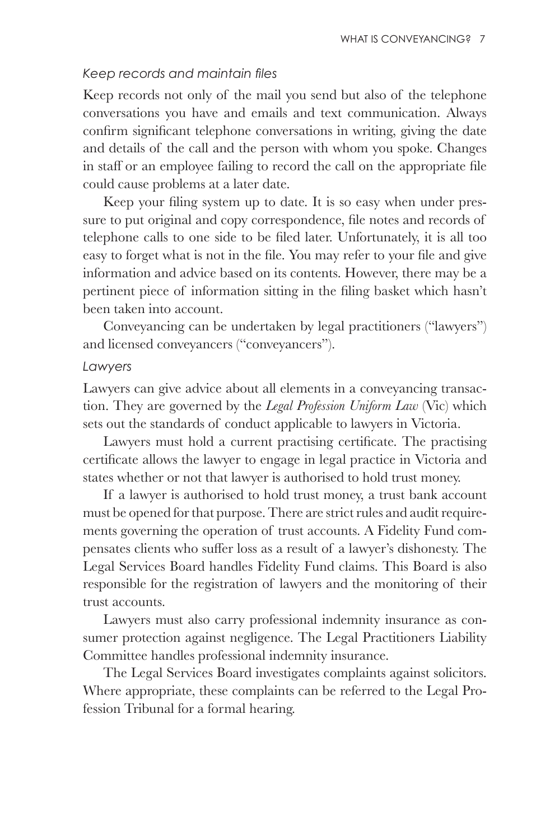#### Keep records and maintain files

Keep records not only of the mail you send but also of the telephone conversations you have and emails and text communication. Always confirm significant telephone conversations in writing, giving the date and details of the call and the person with whom you spoke. Changes in staff or an employee failing to record the call on the appropriate file could cause problems at a later date.

Keep your filing system up to date. It is so easy when under pressure to put original and copy correspondence, file notes and records of telephone calls to one side to be filed later. Unfortunately, it is all too easy to forget what is not in the file. You may refer to your file and give information and advice based on its contents. However, there may be a pertinent piece of information sitting in the filing basket which hasn't been taken into account.

Conveyancing can be undertaken by legal practitioners ("lawyers") and licensed conveyancers ("conveyancers").

#### *Lawyers*

Lawyers can give advice about all elements in a conveyancing transaction. They are governed by the *Legal Profession Uniform Law* (Vic) which sets out the standards of conduct applicable to lawyers in Victoria.

Lawyers must hold a current practising certificate. The practising certificate allows the lawyer to engage in legal practice in Victoria and states whether or not that lawyer is authorised to hold trust money.

If a lawyer is authorised to hold trust money, a trust bank account must be opened for that purpose. There are strict rules and audit requirements governing the operation of trust accounts. A Fidelity Fund compensates clients who suffer loss as a result of a lawyer's dishonesty. The Legal Services Board handles Fidelity Fund claims. This Board is also responsible for the registration of lawyers and the monitoring of their trust accounts.

Lawyers must also carry professional indemnity insurance as consumer protection against negligence. The Legal Practitioners Liability Committee handles professional indemnity insurance.

The Legal Services Board investigates complaints against solicitors. Where appropriate, these complaints can be referred to the Legal Profession Tribunal for a formal hearing.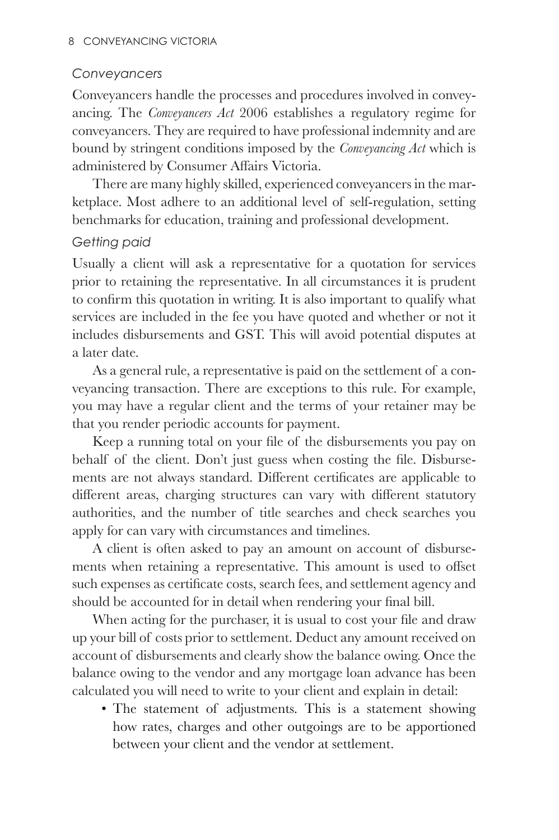#### *Conveyancers*

Conveyancers handle the processes and procedures involved in conveyancing. The *Conveyancers Act* 2006 establishes a regulatory regime for conveyancers. They are required to have professional indemnity and are bound by stringent conditions imposed by the *Conveyancing Act* which is administered by Consumer Affairs Victoria.

There are many highly skilled, experienced conveyancers in the marketplace. Most adhere to an additional level of self-regulation, setting benchmarks for education, training and professional development.

#### *Getting paid*

Usually a client will ask a representative for a quotation for services prior to retaining the representative. In all circumstances it is prudent to confirm this quotation in writing. It is also important to qualify what services are included in the fee you have quoted and whether or not it includes disbursements and GST. This will avoid potential disputes at a later date.

As a general rule, a representative is paid on the settlement of a conveyancing transaction. There are exceptions to this rule. For example, you may have a regular client and the terms of your retainer may be that you render periodic accounts for payment.

Keep a running total on your file of the disbursements you pay on behalf of the client. Don't just guess when costing the file. Disbursements are not always standard. Different certificates are applicable to different areas, charging structures can vary with different statutory authorities, and the number of title searches and check searches you apply for can vary with circumstances and timelines.

A client is often asked to pay an amount on account of disbursements when retaining a representative. This amount is used to offset such expenses as certificate costs, search fees, and settlement agency and should be accounted for in detail when rendering your final bill.

When acting for the purchaser, it is usual to cost your file and draw up your bill of costs prior to settlement. Deduct any amount received on account of disbursements and clearly show the balance owing. Once the balance owing to the vendor and any mortgage loan advance has been calculated you will need to write to your client and explain in detail:

• The statement of adjustments. This is a statement showing how rates, charges and other outgoings are to be apportioned between your client and the vendor at settlement.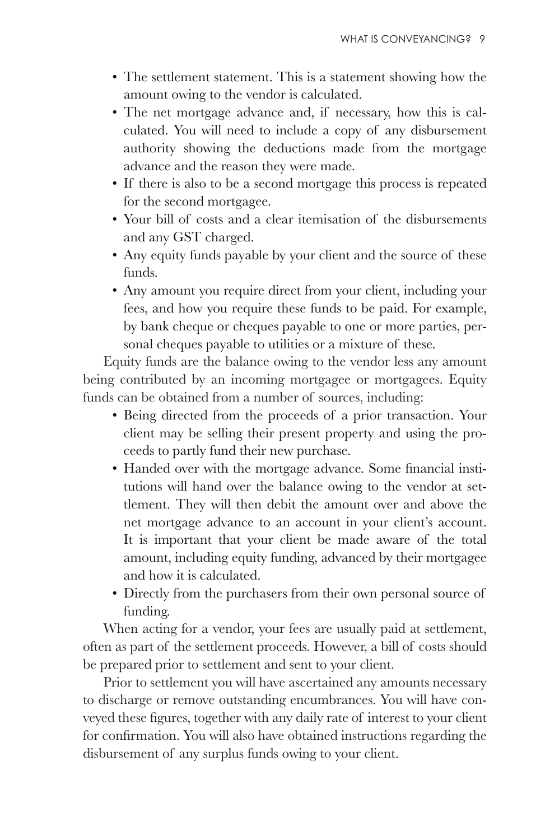- The settlement statement. This is a statement showing how the amount owing to the vendor is calculated.
- The net mortgage advance and, if necessary, how this is calculated. You will need to include a copy of any disbursement authority showing the deductions made from the mortgage advance and the reason they were made.
- If there is also to be a second mortgage this process is repeated for the second mortgagee.
- Your bill of costs and a clear itemisation of the disbursements and any GST charged.
- Any equity funds payable by your client and the source of these funds.
- Any amount you require direct from your client, including your fees, and how you require these funds to be paid. For example, by bank cheque or cheques payable to one or more parties, personal cheques payable to utilities or a mixture of these.

Equity funds are the balance owing to the vendor less any amount being contributed by an incoming mortgagee or mortgagees. Equity funds can be obtained from a number of sources, including:

- Being directed from the proceeds of a prior transaction. Your client may be selling their present property and using the proceeds to partly fund their new purchase.
- Handed over with the mortgage advance. Some financial institutions will hand over the balance owing to the vendor at settlement. They will then debit the amount over and above the net mortgage advance to an account in your client's account. It is important that your client be made aware of the total amount, including equity funding, advanced by their mortgagee and how it is calculated.
- Directly from the purchasers from their own personal source of funding.

When acting for a vendor, your fees are usually paid at settlement, often as part of the settlement proceeds. However, a bill of costs should be prepared prior to settlement and sent to your client.

Prior to settlement you will have ascertained any amounts necessary to discharge or remove outstanding encumbrances. You will have con where the method is the figures, together with any daily rate of interest to your client for confirmation. You will also have obtained instructions regarding the disbursement of any surplus funds owing to your client.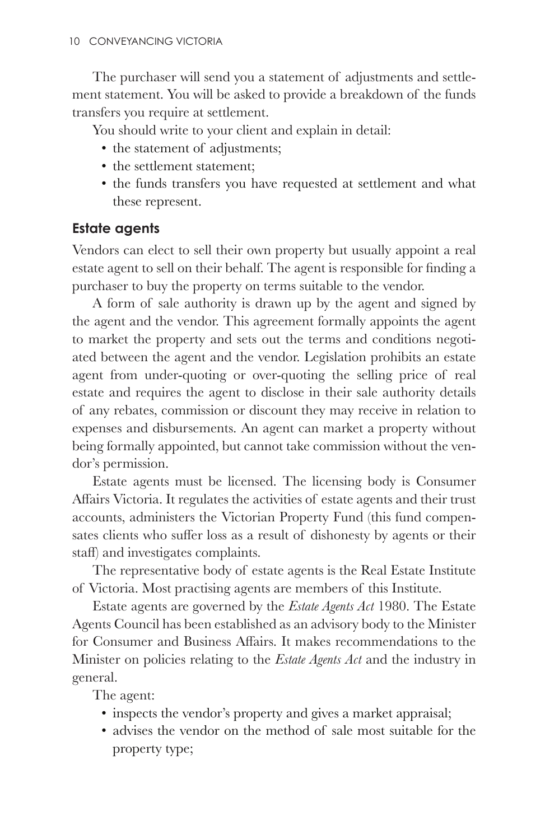The purchaser will send you a statement of adjustments and settlement statement. You will be asked to provide a breakdown of the funds transfers you require at settlement.

You should write to your client and explain in detail:

- the statement of adjustments;
- the settlement statement;
- the funds transfers you have requested at settlement and what these represent.

#### **Estate agents**

Vendors can elect to sell their own property but usually appoint a real estate agent to sell on their behalf. The agent is responsible for finding a purchaser to buy the property on terms suitable to the vendor.

A form of sale authority is drawn up by the agent and signed by the agent and the vendor. This agreement formally appoints the agent to market the property and sets out the terms and conditions negotiated between the agent and the vendor. Legislation prohibits an estate agent from under-quoting or over-quoting the selling price of real estate and requires the agent to disclose in their sale authority details of any rebates, commission or discount they may receive in relation to expenses and disbursements. An agent can market a property without being formally appointed, but cannot take commission without the vendor's permission.

Estate agents must be licensed. The licensing body is Consumer Affairs Victoria. It regulates the activities of estate agents and their trust accounts, administers the Victorian Property Fund (this fund compen sates clients who suffer loss as a result of dishonesty by agents or their staff) and investigates complaints.

The representative body of estate agents is the Real Estate Institute of Victoria. Most practising agents are members of this Institute.

Estate agents are governed by the *Estate Agents Act* 1980. The Estate Agents Council has been established as an advisory body to the Minister for Consumer and Business Affairs. It makes recommendations to the Minister on policies relating to the *Estate Agents Act* and the industry in general.

The agent:

- inspects the vendor's property and gives a market appraisal;
- advises the vendor on the method of sale most suitable for the property type;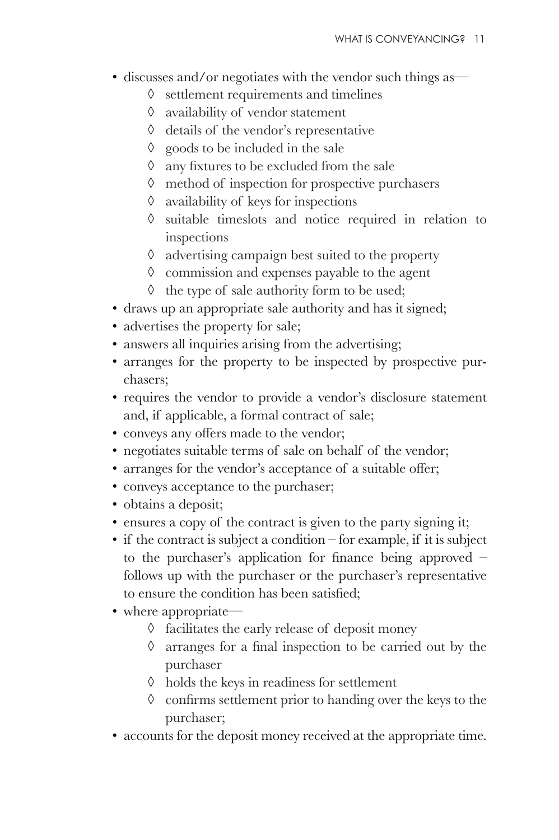- discusses and/or negotiates with the vendor such things as—
	- $\Diamond$  settlement requirements and timelines
	- ¾ availability of vendor statement
	- ¾ details of the vendor's representative
	- $\Diamond$  goods to be included in the sale
	- $\Diamond$  any fixtures to be excluded from the sale
	- $\Diamond$  method of inspection for prospective purchasers
	- $\Diamond$  availability of keys for inspections
	- $\Diamond$  suitable timeslots and notice required in relation to inspections
	- $\Diamond$  advertising campaign best suited to the property
	- $\Diamond$  commission and expenses payable to the agent
	- $\Diamond$  the type of sale authority form to be used;
- draws up an appropriate sale authority and has it signed;
- advertises the property for sale;
- answers all inquiries arising from the advertising;
- arranges for the property to be inspected by prospective purchasers;
- requires the vendor to provide a vendor's disclosure statement and, if applicable, a formal contract of sale;
- conveys any offers made to the vendor;
- negotiates suitable terms of sale on behalf of the vendor;
- arranges for the vendor's acceptance of a suitable offer;
- conveys acceptance to the purchaser;
- obtains a deposit;
- ensures a copy of the contract is given to the party signing it;
- if the contract is subject a condition for example, if it is subject to the purchaser's application for finance being approved  $$ follows up with the purchaser or the purchaser's representative to ensure the condition has been satisfied;
- where appropriate—
	- $\Diamond$  facilitates the early release of deposit money
	- $\Diamond$  arranges for a final inspection to be carried out by the purchaser
	- $\Diamond$  holds the keys in readiness for settlement
	- $\Diamond$  confirms settlement prior to handing over the keys to the purchaser;
- accounts for the deposit money received at the appropriate time.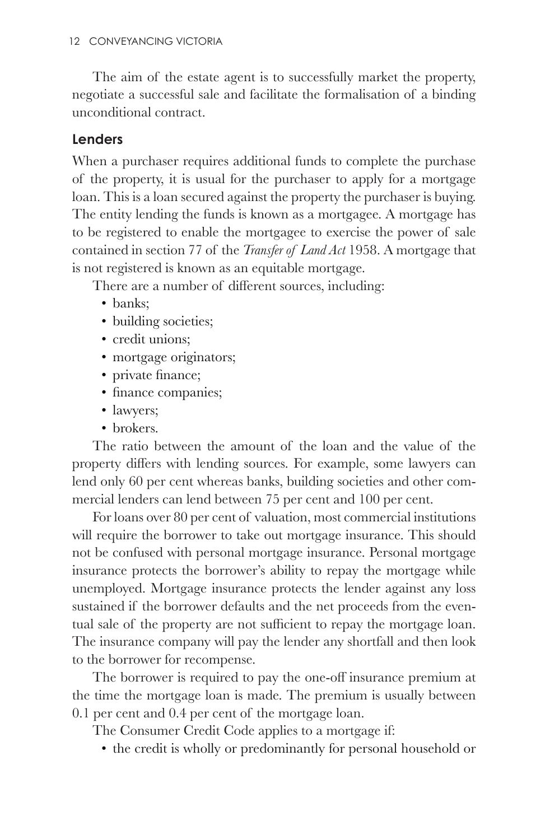The aim of the estate agent is to successfully market the property, negotiate a successful sale and facilitate the formalisation of a binding unconditional contract.

#### **Lenders**

When a purchaser requires additional funds to complete the purchase of the property, it is usual for the purchaser to apply for a mortgage loan. This is a loan secured against the property the purchaser is buying. The entity lending the funds is known as a mortgagee. A mortgage has to be registered to enable the mortgagee to exercise the power of sale contained in section 77 of the *Transfer of Land Act* 1958. A mortgage that is not registered is known as an equitable mortgage.

There are a number of different sources, including:

- banks:
- building societies;
- credit unions:
- mortgage originators;
- private finance;
- finance companies;
- lawyers;
- brokers.

The ratio between the amount of the loan and the value of the property differs with lending sources. For example, some lawyers can lend only 60 per cent whereas banks, building societies and other commercial lenders can lend between 75 per cent and 100 per cent.

For loans over 80 per cent of valuation, most commercial institutions will require the borrower to take out mortgage insurance. This should not be confused with personal mortgage insurance. Personal mortgage insurance protects the borrower's ability to repay the mortgage while unemployed. Mortgage insurance protects the lender against any loss sustained if the borrower defaults and the net proceeds from the even tual sale of the property are not sufficient to repay the mortgage loan. The insurance company will pay the lender any shortfall and then look to the borrower for recompense.

The borrower is required to pay the one-off insurance premium at the time the mortgage loan is made. The premium is usually between 0.1 per cent and 0.4 per cent of the mortgage loan.

The Consumer Credit Code applies to a mortgage if:

• the credit is wholly or predominantly for personal household or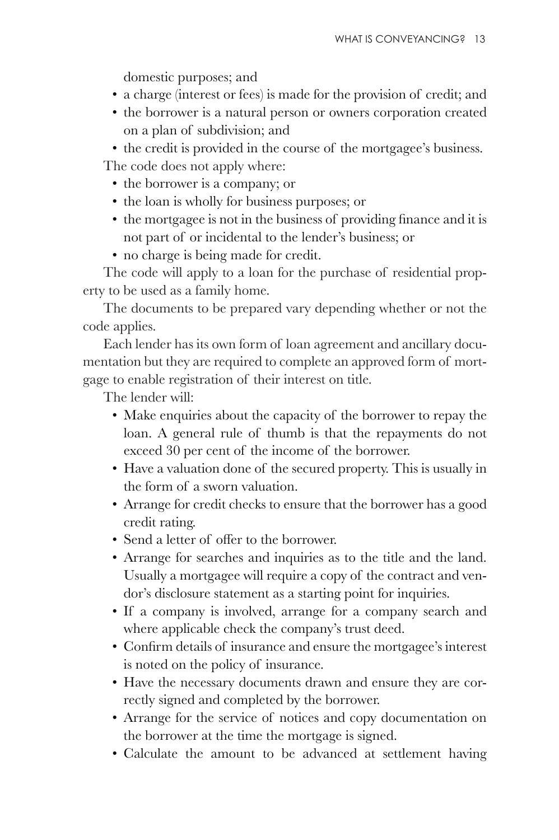domestic purposes; and

- a charge (interest or fees) is made for the provision of credit; and
- the borrower is a natural person or owners corporation created on a plan of subdivision; and

• the credit is provided in the course of the mortgagee's business. The code does not apply where:

- the borrower is a company; or
- the loan is wholly for business purposes; or
- $\bullet$  the mortgagee is not in the business of providing finance and it is not part of or incidental to the lender's business; or
- no charge is being made for credit.

The code will apply to a loan for the purchase of residential property to be used as a family home.

The documents to be prepared vary depending whether or not the code applies.

Each lender has its own form of loan agreement and ancillary documentation but they are required to complete an approved form of mortgage to enable registration of their interest on title.

The lender will:

- Make enquiries about the capacity of the borrower to repay the loan. A general rule of thumb is that the repayments do not exceed 30 per cent of the income of the borrower.
- Have a valuation done of the secured property. This is usually in the form of a sworn valuation.
- Arrange for credit checks to ensure that the borrower has a good credit rating.
- Send a letter of offer to the borrower.
- Arrange for searches and inquiries as to the title and the land. Usually a mortgagee will require a copy of the contract and vendor's disclosure statement as a starting point for inquiries.
- If a company is involved, arrange for a company search and where applicable check the company's trust deed.
- Confirm details of insurance and ensure the mortgagee's interest is noted on the policy of insurance.
- Have the necessary documents drawn and ensure they are correctly signed and completed by the borrower.
- Arrange for the service of notices and copy documentation on the borrower at the time the mortgage is signed.
- Calculate the amount to be advanced at settlement having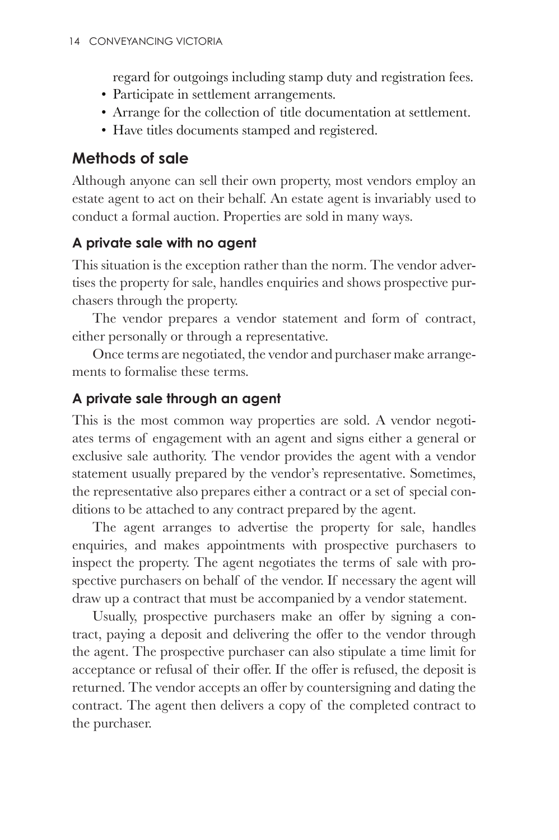regard for outgoings including stamp duty and registration fees.

- Participate in settlement arrangements.
- Arrange for the collection of title documentation at settlement.
- Have titles documents stamped and registered.

#### **Methods of sale**

Although anyone can sell their own property, most vendors employ an estate agent to act on their behalf. An estate agent is invariably used to conduct a formal auction. Properties are sold in many ways.

#### **A private sale with no agent**

This situation is the exception rather than the norm. The vendor advertises the property for sale, handles enquiries and shows prospective purchasers through the property.

The vendor prepares a vendor statement and form of contract, either personally or through a representative.

Once terms are negotiated, the vendor and purchaser make arrangements to formalise these terms.

#### **A private sale through an agent**

This is the most common way properties are sold. A vendor negotiates terms of engagement with an agent and signs either a general or exclusive sale authority. The vendor provides the agent with a vendor statement usually prepared by the vendor's representative. Sometimes, the representative also prepares either a contract or a set of special conditions to be attached to any contract prepared by the agent.

The agent arranges to advertise the property for sale, handles enquiries, and makes appointments with prospective purchasers to inspect the property. The agent negotiates the terms of sale with prospective purchasers on behalf of the vendor. If necessary the agent will draw up a contract that must be accompanied by a vendor statement.

Usually, prospective purchasers make an offer by signing a contract, paying a deposit and delivering the offer to the vendor through the agent. The prospective purchaser can also stipulate a time limit for acceptance or refusal of their offer. If the offer is refused, the deposit is returned. The vendor accepts an offer by countersigning and dating the contract. The agent then delivers a copy of the completed contract to the purchaser.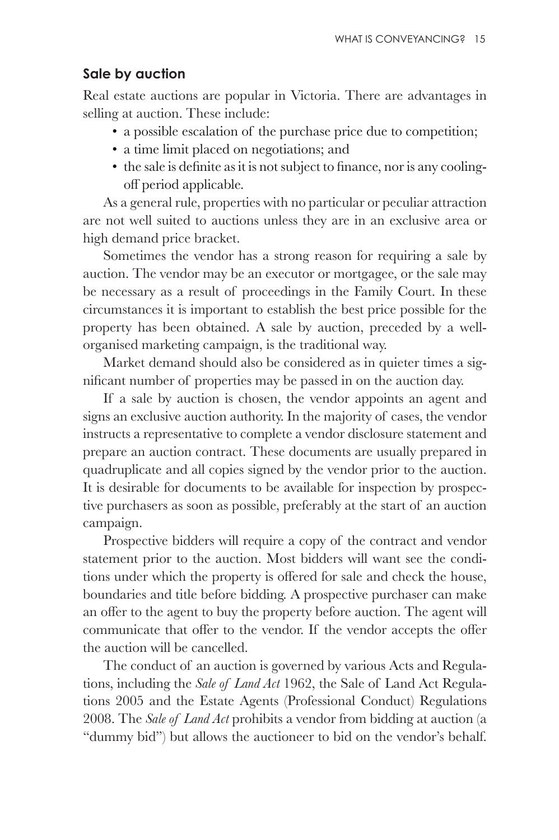#### **Sale by auction**

Real estate auctions are popular in Victoria. There are advantages in selling at auction. These include:

- a possible escalation of the purchase price due to competition;
- a time limit placed on negotiations; and
- $\bullet$  the sale is definite as it is not subject to finance, nor is any coolingoff period applicable.

As a general rule, properties with no particular or peculiar attraction are not well suited to auctions unless they are in an exclusive area or high demand price bracket.

Sometimes the vendor has a strong reason for requiring a sale by auction. The vendor may be an executor or mortgagee, or the sale may be necessary as a result of proceedings in the Family Court. In these circumstances it is important to establish the best price possible for the property has been obtained. A sale by auction, preceded by a wellorganised marketing campaign, is the traditional way.

Market demand should also be considered as in quieter times a significant number of properties may be passed in on the auction day.

If a sale by auction is chosen, the vendor appoints an agent and signs an exclusive auction authority. In the majority of cases, the vendor instructs a representative to complete a vendor disclosure statement and prepare an auction contract. These documents are usually prepared in quadruplicate and all copies signed by the vendor prior to the auction. It is desirable for documents to be available for inspection by prospective purchasers as soon as possible, preferably at the start of an auction campaign.

Prospective bidders will require a copy of the contract and vendor statement prior to the auction. Most bidders will want see the condi tions under which the property is offered for sale and check the house, boundaries and title before bidding. A prospective purchaser can make an offer to the agent to buy the property before auction. The agent will communicate that offer to the vendor. If the vendor accepts the offer the auction will be cancelled.

The conduct of an auction is governed by various Acts and Regulations, including the *Sale of Land Act* 1962, the Sale of Land Act Regulations 2005 and the Estate Agents (Professional Conduct) Regulations 2008. The *Sale of Land Act* prohibits a vendor from bidding at auction (a "dummy bid") but allows the auctioneer to bid on the vendor's behalf.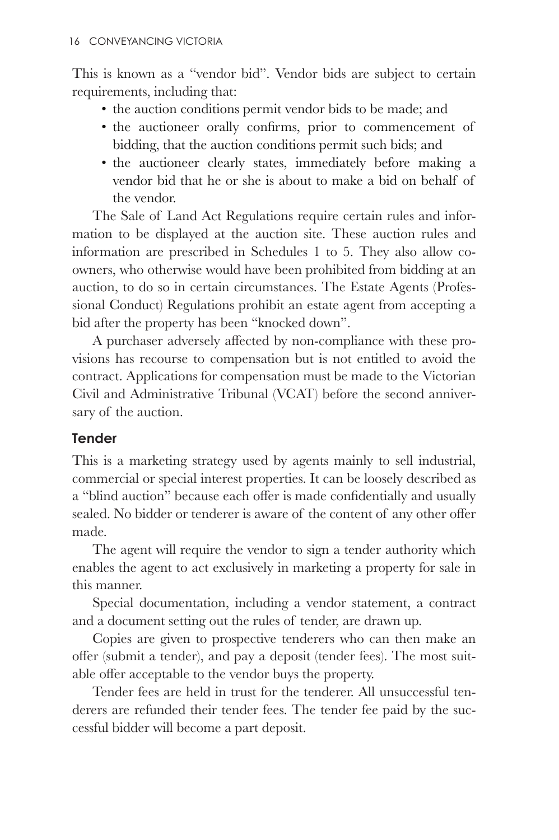This is known as a "vendor bid". Vendor bids are subject to certain requirements, including that:

- the auction conditions permit vendor bids to be made; and
- the auctioneer orally confirms, prior to commencement of bidding, that the auction conditions permit such bids; and
- the auctioneer clearly states, immediately before making a vendor bid that he or she is about to make a bid on behalf of the vendor.

The Sale of Land Act Regulations require certain rules and information to be displayed at the auction site. These auction rules and information are prescribed in Schedules 1 to 5. They also allow coowners, who otherwise would have been prohibited from bidding at an auction, to do so in certain circumstances. The Estate Agents (Professional Conduct) Regulations prohibit an estate agent from accepting a bid after the property has been "knocked down".

A purchaser adversely affected by non-compliance with these provisions has recourse to compensation but is not entitled to avoid the contract. Applications for compensation must be made to the Victorian Civil and Administrative Tribunal (VCAT) before the second anniversary of the auction.

#### **Tender**

This is a marketing strategy used by agents mainly to sell industrial, commercial or special interest properties. It can be loosely described as a "blind auction" because each offer is made confidentially and usually sealed. No bidder or tenderer is aware of the content of any other offer made.

The agent will require the vendor to sign a tender authority which enables the agent to act exclusively in marketing a property for sale in this manner.

Special documentation, including a vendor statement, a contract and a document setting out the rules of tender, are drawn up.

Copies are given to prospective tenderers who can then make an offer (submit a tender), and pay a deposit (tender fees). The most suitable offer acceptable to the vendor buys the property.

Tender fees are held in trust for the tenderer. All unsuccessful tenderers are refunded their tender fees. The tender fee paid by the successful bidder will become a part deposit.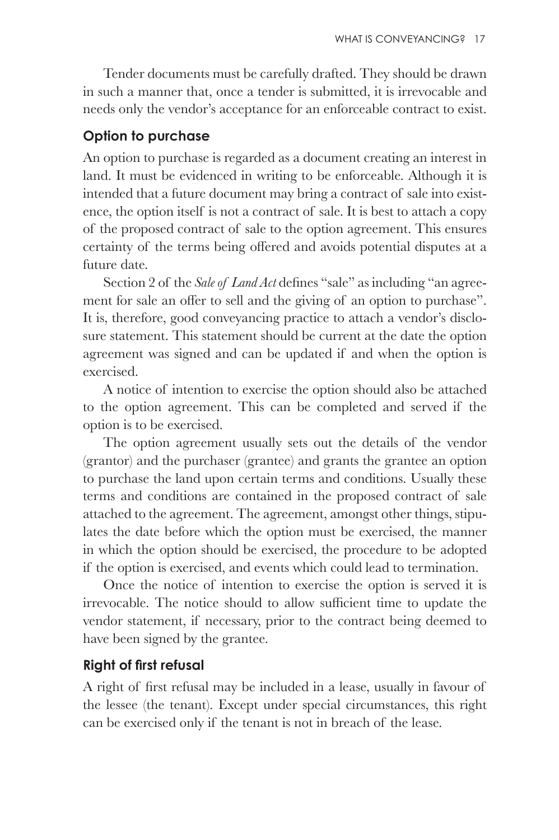Tender documents must be carefully drafted. They should be drawn in such a manner that, once a tender is submitted, it is irrevocable and needs only the vendor's acceptance for an enforceable contract to exist.

#### **Option to purchase**

An option to purchase is regarded as a document creating an interest in land. It must be evidenced in writing to be enforceable. Although it is intended that a future document may bring a contract of sale into existence, the option itself is not a contract of sale. It is best to attach a copy of the proposed contract of sale to the option agreement. This ensures certainty of the terms being offered and avoids potential disputes at a future date.

Section 2 of the *Sale of Land Act* defines "sale" as including "an agreement for sale an offer to sell and the giving of an option to purchase". It is, therefore, good conveyancing practice to attach a vendor's disclosure statement. This statement should be current at the date the option agreement was signed and can be updated if and when the option is exercised.

A notice of intention to exercise the option should also be attached to the option agreement. This can be completed and served if the option is to be exercised.

The option agreement usually sets out the details of the vendor (grantor) and the purchaser (grantee) and grants the grantee an option to purchase the land upon certain terms and conditions. Usually these terms and conditions are contained in the proposed contract of sale attached to the agreement. The agreement, amongst other things, stipulates the date before which the option must be exercised, the manner in which the option should be exercised, the procedure to be adopted if the option is exercised, and events which could lead to termination.

Once the notice of intention to exercise the option is served it is irrevocable. The notice should to allow sufficient time to update the vendor statement, if necessary, prior to the contract being deemed to have been signed by the grantee.

#### **Right of first refusal**

A right of first refusal may be included in a lease, usually in favour of the lessee (the tenant). Except under special circumstances, this right can be exercised only if the tenant is not in breach of the lease.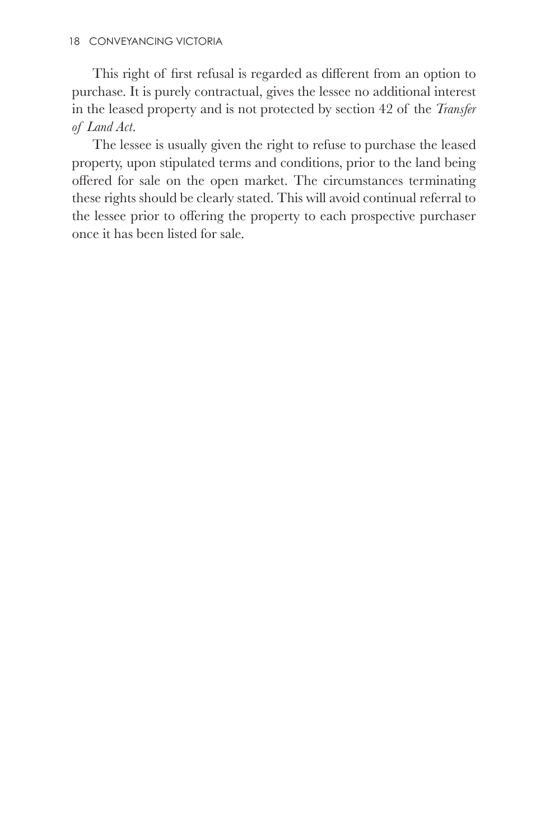This right of first refusal is regarded as different from an option to purchase. It is purely contractual, gives the lessee no additional interest in the leased property and is not protected by section 42 of the *Transfer of Land Act*.

The lessee is usually given the right to refuse to purchase the leased property, upon stipulated terms and conditions, prior to the land being offered for sale on the open market. The circumstances terminating these rights should be clearly stated. This will avoid continual referral to the lessee prior to offering the property to each prospective purchaser once it has been listed for sale.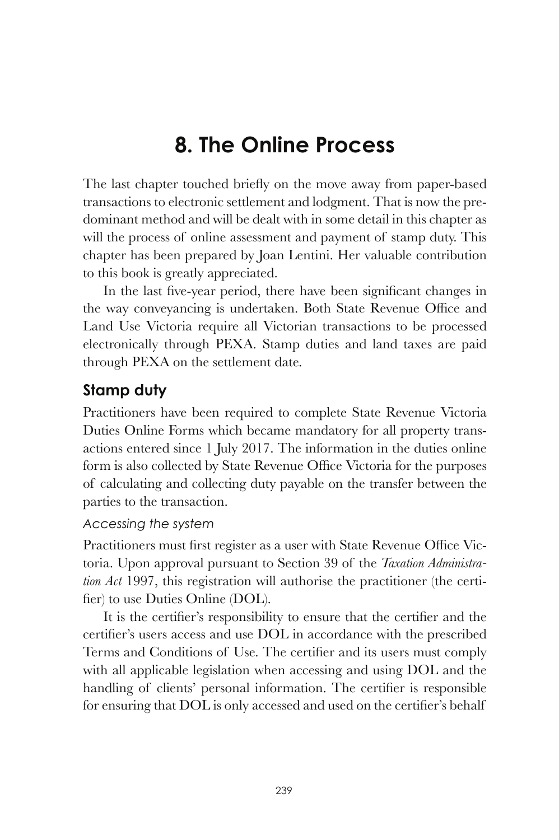## **8. The Online Process**

The last chapter touched briefly on the move away from paper-based transactions to electronic settlement and lodgment. That is now the predominant method and will be dealt with in some detail in this chapter as will the process of online assessment and payment of stamp duty. This chapter has been prepared by Joan Lentini. Her valuable contribution to this book is greatly appreciated.

In the last five-year period, there have been significant changes in the way conveyancing is undertaken. Both State Revenue Office and Land Use Victoria require all Victorian transactions to be processed electronically through PEXA. Stamp duties and land taxes are paid through PEXA on the settlement date.

#### **Stamp duty**

Practitioners have been required to complete State Revenue Victoria Duties Online Forms which became mandatory for all property transactions entered since 1 July 2017. The information in the duties online form is also collected by State Revenue Office Victoria for the purposes of calculating and collecting duty payable on the transfer between the parties to the transaction.

#### *Accessing the system*

Practitioners must first register as a user with State Revenue Office Victoria. Upon approval pursuant to Section 39 of the *Taxation Administration Act* 1997, this registration will authorise the practitioner (the certifier) to use Duties Online  $(DOL)$ .

It is the certifier's responsibility to ensure that the certifier and the certifier's users access and use DOL in accordance with the prescribed Terms and Conditions of Use. The certifier and its users must comply with all applicable legislation when accessing and using DOL and the handling of clients' personal information. The certifier is responsible for ensuring that DOL is only accessed and used on the certifier's behalf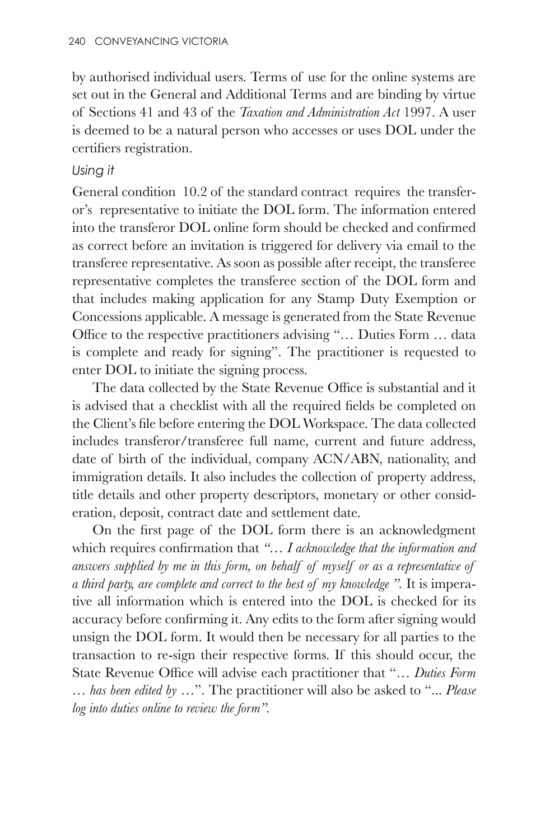by authorised individual users. Terms of use for the online systems are set out in the General and Additional Terms and are binding by virtue of Sections 41 and 43 of the *Taxation and Administration Act* 1997. A user is deemed to be a natural person who accesses or uses DOL under the certifiers registration.

#### *Using it*

General condition 10.2 of the standard contract requires the transferor's representative to initiate the DOL form. The information entered into the transferor  $DOL$  online form should be checked and confirmed as correct before an invitation is triggered for delivery via email to the transferee representative. As soon as possible after receipt, the transferee representative completes the transferee section of the DOL form and that includes making application for any Stamp Duty Exemption or Concessions applicable. A message is generated from the State Revenue Office to the respective practitioners advising "... Duties Form ... data is complete and ready for signing". The practitioner is requested to enter DOL to initiate the signing process.

The data collected by the State Revenue Office is substantial and it is advised that a checklist with all the required fields be completed on the Client's file before entering the DOL Workspace. The data collected includes transferor/transferee full name, current and future address, date of birth of the individual, company ACN/ABN, nationality, and immigration details. It also includes the collection of property address, title details and other property descriptors, monetary or other consideration, deposit, contract date and settlement date.

On the first page of the DOL form there is an acknowledgment which requires confirmation that "... I acknowledge that the information and *answers supplied by me in this form, on behalf of myself or as a representative of a third party, are complete and correct to the best of my knowledge ".* It is imperative all information which is entered into the DOL is checked for its accuracy before confirming it. Any edits to the form after signing would unsign the DOL form. It would then be necessary for all parties to the transaction to re-sign their respective forms. If this should occur, the State Revenue Office will advise each practitioner that "... Duties Form *… has been edited by* …". The practitioner will also be asked to "... Please *log into duties online to review the form".*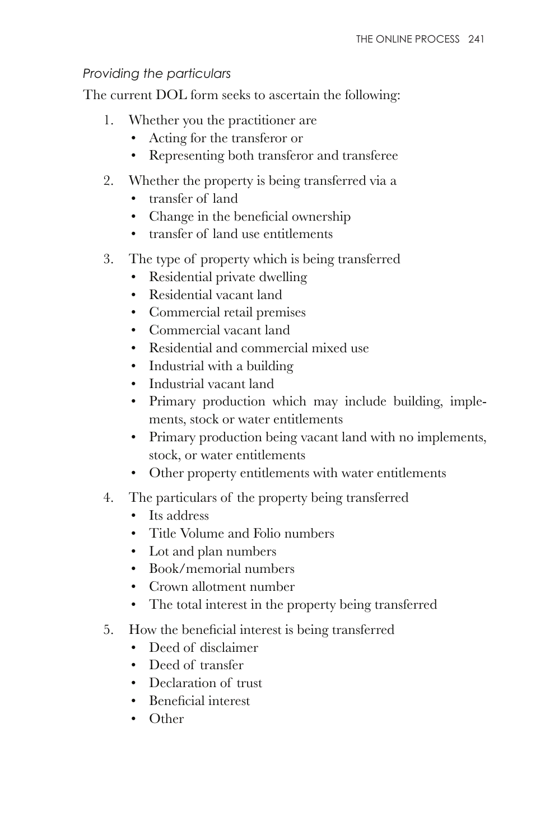#### *Providing the particulars*

The current DOL form seeks to ascertain the following:

- 1. Whether you the practitioner are
	- Acting for the transferor or
	- Representing both transferor and transferee
- 2. Whether the property is being transferred via a
	- transfer of land
	- Change in the beneficial ownership
	- transfer of land use entitlements
- 3. The type of property which is being transferred
	- Residential private dwelling
	- Residential vacant land
	- Commercial retail premises
	- Commercial vacant land
	- Residential and commercial mixed use
	- Industrial with a building
	- Industrial vacant land
	- Primary production which may include building, implements, stock or water entitlements
	- Primary production being vacant land with no implements, stock, or water entitlements
	- Other property entitlements with water entitlements
- 4. The particulars of the property being transferred
	- Its address
	- Title Volume and Folio numbers
	- Lot and plan numbers
	- Book/memorial numbers
	- Crown allotment number
	- The total interest in the property being transferred
- 5. How the beneficial interest is being transferred
	- Deed of disclaimer
	- Deed of transfer
	- Declaration of trust
	- $\cdot$  Beneficial interest
	- Other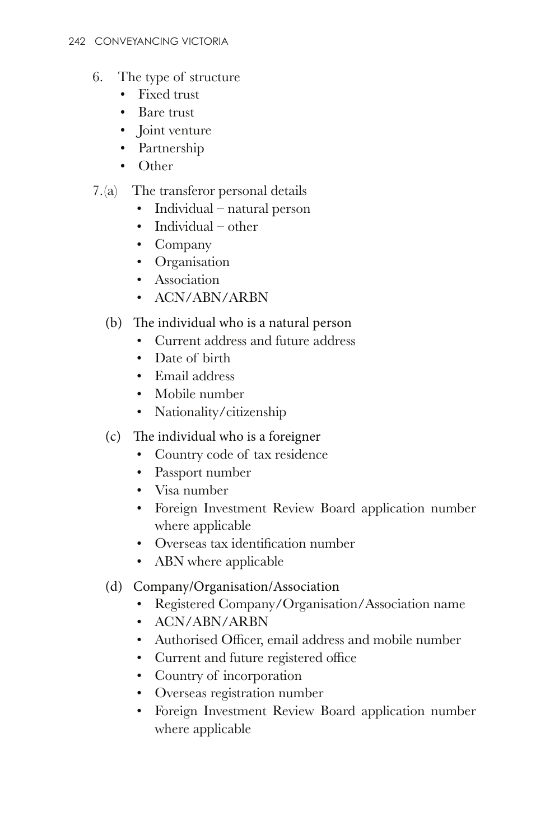- 6. The type of structure
	- Fixed trust
	- Bare trust
	- Joint venture
	- Partnership
	- Other

#### 7.(a) The transferor personal details

- Individual natural person
- Individual other
- Company
- Organisation
- Association
- ACN/ABN/ARBN

#### $(b)$  The individual who is a natural person

- Current address and future address
- Date of birth
- Email address
- Mobile number
- Nationality/citizenship
- $(c)$  The individual who is a foreigner
	- Country code of tax residence
	- Passport number
	- Visa number
	- Foreign Investment Review Board application number where applicable
	- Overseas tax identification number
	- ABN where applicable

#### (d) Company/Organisation/Association

- Registered Company/Organisation/Association name
- ACN/ABN/ARBN
- Authorised Officer, email address and mobile number
- Current and future registered office
- Country of incorporation
- Overseas registration number
- Foreign Investment Review Board application number where applicable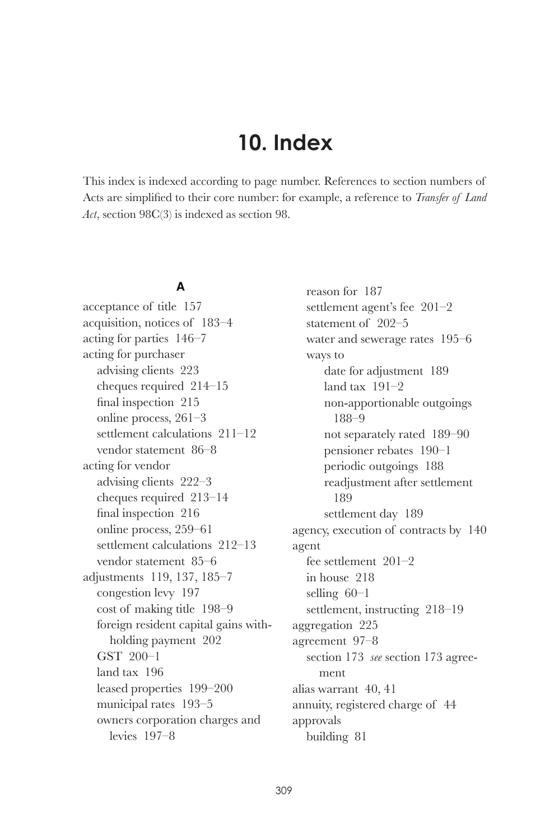## **10. Index**

This index is indexed according to page number. References to section numbers of Acts are simplified to their core number: for example, a reference to *Transfer of Land Act*, section 98C(3) is indexed as section 98.

#### **A**

acceptance of title 157 acquisition, notices of 183–4 acting for parties 146–7 acting for purchaser advising clients 223 cheques required 214–15 final inspection  $215$ online process, 261–3 settlement calculations 211–12 vendor statement 86–8 acting for vendor advising clients 222–3 cheques required 213–14 final inspection  $\,216$ online process, 259–61 settlement calculations 212–13 vendor statement 85–6 adjustments 119, 137, 185–7 congestion levy 197 cost of making title 198–9 foreign resident capital gains withholding payment 202 GST 200–1 land tax 196 leased properties 199–200 municipal rates 193–5 owners corporation charges and levies 197–8

reason for 187 settlement agent's fee 201–2 statement of 202–5 water and sewerage rates 195–6 ways to date for adjustment 189 land tax 191–2 non-apportionable outgoings 188–9 not separately rated 189–90 pensioner rebates 190–1 periodic outgoings 188 readjustment after settlement 189 settlement day 189 agency, execution of contracts by 140 agent fee settlement 201–2 in house 218 selling 60–1 settlement, instructing 218–19 aggregation 225 agreement 97–8 section 173 *see* section 173 agreement alias warrant 40, 41 annuity, registered charge of 44 approvals building 81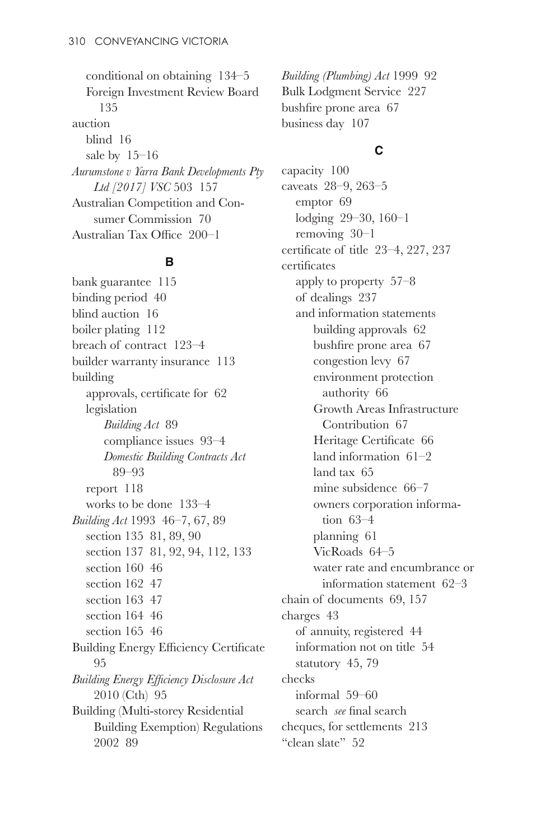conditional on obtaining 134–5 Foreign Investment Review Board 135 auction blind 16 sale by 15–16 *Aurumstone v Yarra Bank Developments Pty Ltd [2017] VSC* 503 157 Australian Competition and Consumer Commission 70 Australian Tax Office 200-1

#### **B**

bank guarantee 115 binding period 40 blind auction 16 boiler plating 112 breach of contract 123–4 builder warranty insurance 113 building approvals, certificate for  $62$ legislation *Building Act* 89 compliance issues 93–4 *Domestic Building Contracts Act* 89–93 report 118 works to be done 133–4 *Building Act* 1993 46–7, 67, 89 section 135 81, 89, 90 section 137 81, 92, 94, 112, 133 section 160 46 section 162 47 section 163 47 section 164 46 section 165 46 Building Energy Efficiency Certificate 95 *Building Energy Efficiency Disclosure Act* 2010 (Cth) 95 Building (Multi-storey Residential Building Exemption) Regulations 2002 89

*Building (Plumbing) Act* 1999 92 Bulk Lodgment Service 227 bushfire prone area 67 business day 107

#### **C**

capacity 100 caveats 28–9, 263–5 emptor 69 lodging 29–30, 160–1 removing 30–1 certificate of title  $23-4$ ,  $227$ ,  $237$ certificates apply to property 57–8 of dealings 237 and information statements building approvals 62 bushfire prone area 67 congestion levy 67 environment protection authority 66 Growth Areas Infrastructure Contribution 67 Heritage Certificate 66 land information 61–2 land tax 65 mine subsidence 66–7 owners corporation information 63–4 planning 61 VicRoads 64–5 water rate and encumbrance or information statement 62–3 chain of documents 69, 157 charges 43 of annuity, registered 44 information not on title 54 statutory 45, 79 checks informal 59–60 search *see* final search cheques, for settlements 213 "clean slate" 52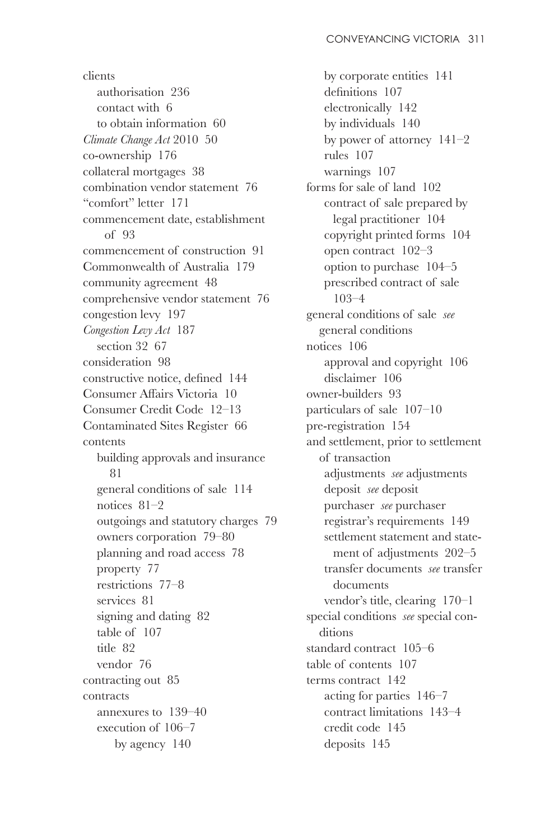clients authorisation 236 contact with 6 to obtain information 60 *Climate Change Act* 2010 50 co-ownership 176 collateral mortgages 38 combination vendor statement 76 "comfort" letter 171 commencement date, establishment of 93 commencement of construction 91 Commonwealth of Australia 179 community agreement 48 comprehensive vendor statement 76 congestion levy 197 *Congestion Levy Act* 187 section 32 67 consideration 98 constructive notice, defined 144 Consumer Affairs Victoria 10 Consumer Credit Code 12–13 Contaminated Sites Register 66 contents building approvals and insurance 81 general conditions of sale 114 notices 81–2 outgoings and statutory charges 79 owners corporation 79–80 planning and road access 78 property 77 restrictions 77–8 services 81 signing and dating 82 table of 107 title 82 vendor 76 contracting out 85 contracts annexures to 139–40 execution of 106–7 by agency 140

by corporate entities 141 definitions 107 electronically 142 by individuals 140 by power of attorney 141–2 rules 107 warnings 107 forms for sale of land 102 contract of sale prepared by legal practitioner 104 copyright printed forms 104 open contract 102–3 option to purchase 104–5 prescribed contract of sale 103–4 general conditions of sale *see*  general conditions notices 106 approval and copyright 106 disclaimer 106 owner-builders 93 particulars of sale 107–10 pre-registration 154 and settlement, prior to settlement of transaction adjustments *see* adjustments deposit *see* deposit purchaser *see* purchaser registrar's requirements 149 settlement statement and statement of adjustments 202–5 transfer documents *see* transfer documents vendor's title, clearing 170–1 special conditions *see* special conditions standard contract 105–6 table of contents 107 terms contract 142 acting for parties 146–7 contract limitations 143–4 credit code 145 deposits 145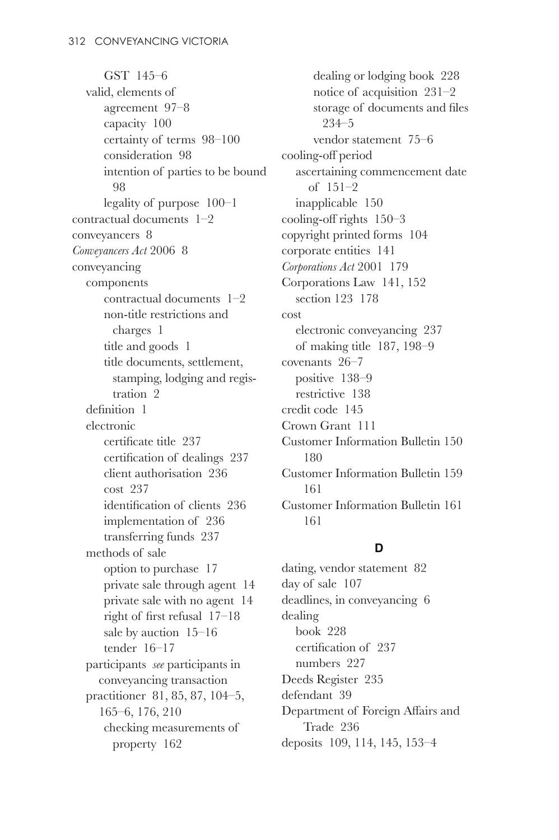GST 145–6 valid, elements of agreement 97–8 capacity 100 certainty of terms 98–100 consideration 98 intention of parties to be bound 98 legality of purpose 100–1 contractual documents 1–2 conveyancers 8 *Conveyancers Act* 2006 8 conveyancing components contractual documents 1–2 non-title restrictions and charges 1 title and goods 1 title documents, settlement, stamping, lodging and registration 2 definition 1 electronic certificate title 237 certification of dealings 237 client authorisation 236 cost 237 identification of clients  $236$ implementation of 236 transferring funds 237 methods of sale option to purchase 17 private sale through agent 14 private sale with no agent 14 right of first refusal  $17-18$ sale by auction 15–16 tender 16–17 participants *see* participants in conveyancing transaction practitioner 81, 85, 87, 104–5, 165–6, 176, 210 checking measurements of property 162

dealing or lodging book 228 notice of acquisition 231–2 storage of documents and files 234–5 vendor statement 75–6 cooling-off period ascertaining commencement date of 151–2 inapplicable 150 cooling-off rights  $150-3$ copyright printed forms 104 corporate entities 141 *Corporations Act* 2001 179 Corporations Law 141, 152 section 123 178 cost electronic conveyancing 237 of making title 187, 198–9 covenants 26–7 positive 138–9 restrictive 138 credit code 145 Crown Grant 111 Customer Information Bulletin 150 180 Customer Information Bulletin 159 161 Customer Information Bulletin 161 161

#### **D**

dating, vendor statement 82 day of sale 107 deadlines, in conveyancing 6 dealing book 228  $c$ ertification of  $937$ numbers 227 Deeds Register 235 defendant 39 Department of Foreign Affairs and Trade 236 deposits 109, 114, 145, 153–4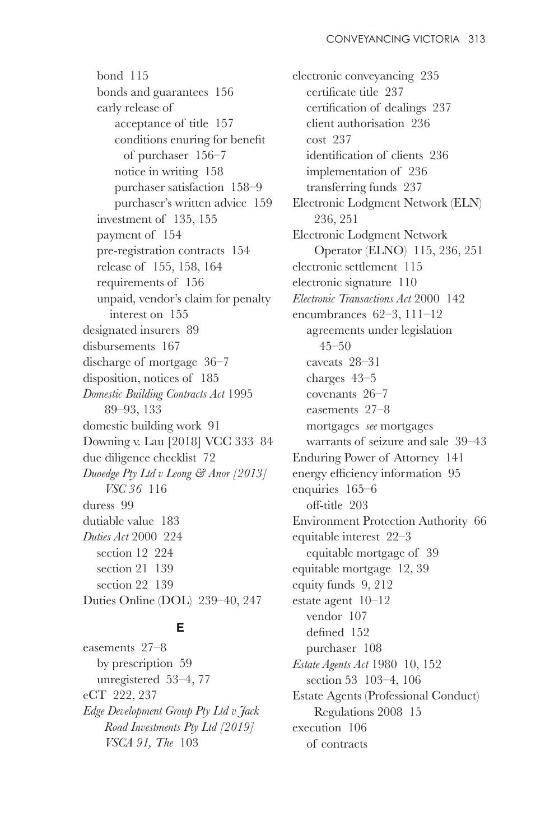bond 115 bonds and guarantees 156 early release of acceptance of title 157 conditions enuring for benefit of purchaser 156–7 notice in writing 158 purchaser satisfaction 158–9 purchaser's written advice 159 investment of 135, 155 payment of 154 pre-registration contracts 154 release of 155, 158, 164 requirements of 156 unpaid, vendor's claim for penalty interest on 155 designated insurers 89 disbursements 167 discharge of mortgage 36–7 disposition, notices of 185 *Domestic Building Contracts Act* 1995 89–93, 133 domestic building work 91 Downing v. Lau [2018] VCC 333 84 due diligence checklist 72 *Duoedge Pty Ltd v Leong & Anor [2013] VSC 36* 116 duress 99 dutiable value 183 *Duties Act* 2000 224 section 12 224 section 21 139 section 22 139 Duties Online (DOL) 239–40, 247

#### **E**

easements 27–8 by prescription 59 unregistered 53–4, 77 eCT 222, 237 *Edge Development Group Pty Ltd v Jack Road Investments Pty Ltd [2019] VSCA 91, The* 103

electronic conveyancing 235 certificate title 237 certification of dealings 237 client authorisation 236 cost 237 identification of clients 236 implementation of 236 transferring funds 237 Electronic Lodgment Network (ELN) 236, 251 Electronic Lodgment Network Operator (ELNO) 115, 236, 251 electronic settlement 115 electronic signature 110 *Electronic Transactions Act* 2000 142 encumbrances 62–3, 111–12 agreements under legislation  $45 - 50$ caveats 28–31 charges 43–5 covenants 26–7 easements 27–8 mortgages *see* mortgages warrants of seizure and sale 39–43 Enduring Power of Attorney 141 energy efficiency information 95 enquiries 165–6 off-title 203 Environment Protection Authority 66 equitable interest 22–3 equitable mortgage of 39 equitable mortgage 12, 39 equity funds 9, 212 estate agent 10–12 vendor 107 defined 152 purchaser 108 *Estate Agents Act* 1980 10, 152 section 53 103–4, 106 Estate Agents (Professional Conduct) Regulations 2008 15 execution 106 of contracts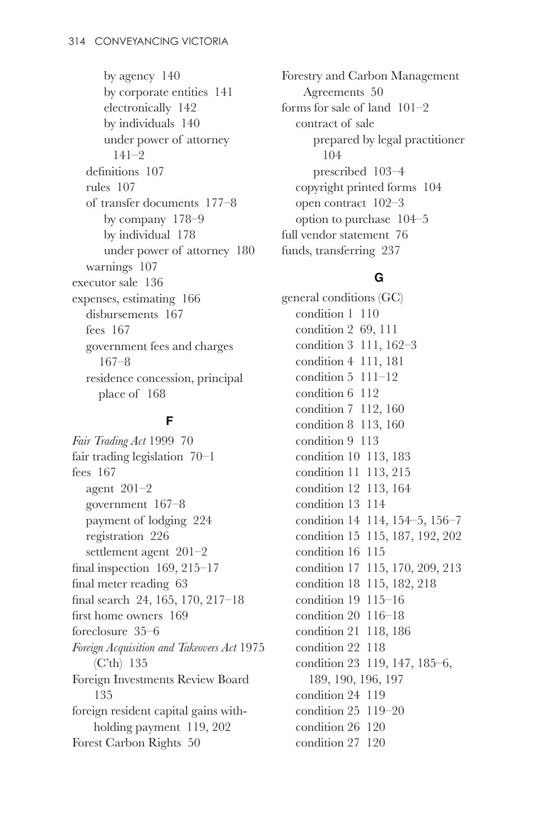by agency 140 by corporate entities 141 electronically 142 by individuals 140 under power of attorney  $141-2$  $definitions 107$ rules 107 of transfer documents 177–8 by company 178–9 by individual 178 under power of attorney 180 warnings 107 executor sale 136 expenses, estimating 166 disbursements 167 fees 167 government fees and charges 167–8 residence concession, principal place of 168

#### **F**

*Fair Trading Act* 1999 70 fair trading legislation 70–1 fees 167 agent 201–2 government 167–8 payment of lodging 224 registration 226 settlement agent 201–2 final inspection  $169, 215-17$ final meter reading 63 final search  $24, 165, 170, 217-18$ first home owners  $169$ foreclosure 35–6 *Foreign Acquisition and Takeovers Act* 1975 (C'th) 135 Foreign Investments Review Board 135 foreign resident capital gains withholding payment 119, 202 Forest Carbon Rights 50

Forestry and Carbon Management Agreements 50 forms for sale of land 101–2 contract of sale prepared by legal practitioner 104 prescribed 103–4 copyright printed forms 104 open contract 102–3 option to purchase 104–5 full vendor statement 76 funds, transferring 237

#### **G**

general conditions (GC) condition 1 110 condition 2 69, 111 condition 3 111, 162–3 condition 4 111, 181 condition 5 111–12 condition 6 112 condition 7 112, 160 condition 8 113, 160 condition 9 113 condition 10 113, 183 condition 11 113, 215 condition 12 113, 164 condition 13 114 condition 14 114, 154–5, 156–7 condition 15 115, 187, 192, 202 condition 16 115 condition 17 115, 170, 209, 213 condition 18 115, 182, 218 condition 19 115–16 condition 20 116–18 condition 21 118, 186 condition 22 118 condition 23 119, 147, 185–6, 189, 190, 196, 197 condition 24 119 condition 25 119–20 condition 26 120 condition 27 120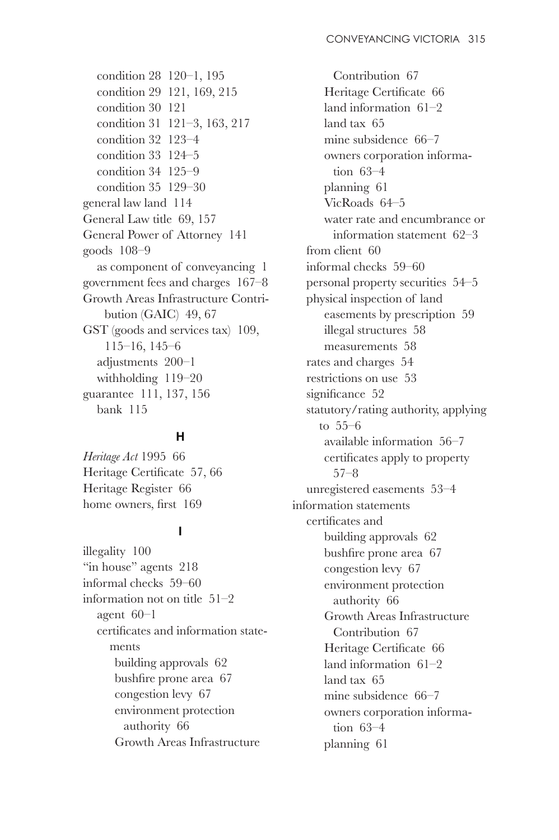condition 28 120–1, 195 condition 29 121, 169, 215 condition 30 121 condition 31 121–3, 163, 217 condition 32 123–4 condition 33 124–5 condition 34 125–9 condition 35 129–30 general law land 114 General Law title 69, 157 General Power of Attorney 141 goods 108–9 as component of conveyancing 1 government fees and charges 167–8 Growth Areas Infrastructure Contribution (GAIC) 49, 67 GST (goods and services tax) 109, 115–16, 145–6 adjustments 200–1 withholding 119–20 guarantee 111, 137, 156 bank 115

#### **H**

*Heritage Act* 1995 66 Heritage Certificate 57, 66 Heritage Register 66 home owners, first 169

#### **I**

illegality 100 "in house" agents  $218$ informal checks 59–60 information not on title 51–2 agent  $60-1$ certificates and information statements building approvals 62 bushfire prone area 67 congestion levy 67 environment protection authority 66 Growth Areas Infrastructure

Contribution 67 Heritage Certificate 66 land information 61–2 land tax 65 mine subsidence 66–7 owners corporation information 63–4 planning 61 VicRoads 64–5 water rate and encumbrance or information statement 62–3 from client 60 informal checks 59–60 personal property securities 54–5 physical inspection of land easements by prescription 59 illegal structures 58 measurements 58 rates and charges 54 restrictions on use 53 significance 52 statutory/rating authority, applying to 55–6 available information 56–7 certificates apply to property 57–8 unregistered easements 53–4 information statements certificates and building approvals 62 bushfire prone area 67 congestion levy 67 environment protection authority 66 Growth Areas Infrastructure Contribution 67 Heritage Certificate 66 land information 61–2 land tax 65 mine subsidence 66–7 owners corporation information 63–4 planning 61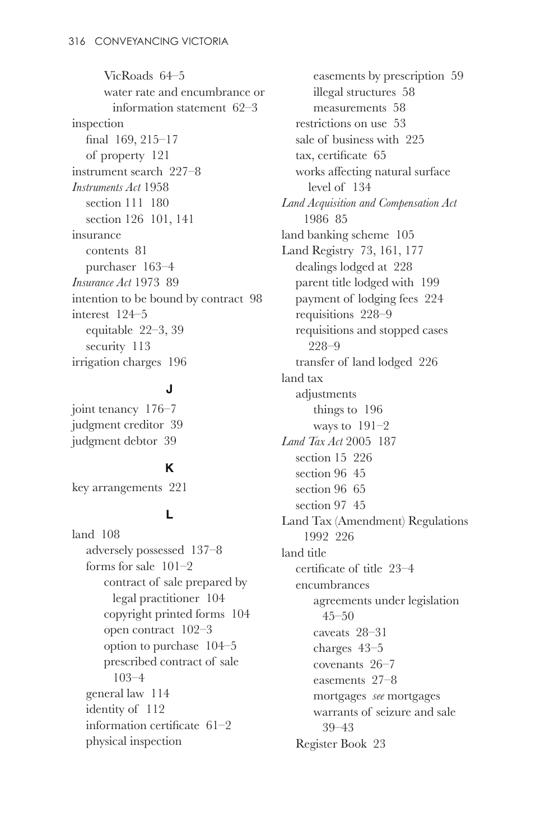VicRoads 64–5 water rate and encumbrance or information statement 62–3 inspection final  $169, 215 - 17$ of property 121 instrument search 227–8 *Instruments Act* 1958 section 111 180 section 126 101, 141 insurance contents 81 purchaser 163–4 *Insurance Act* 1973 89 intention to be bound by contract 98 interest 124–5 equitable 22–3, 39 security 113 irrigation charges 196

#### **J**

joint tenancy 176–7 judgment creditor 39 judgment debtor 39

#### **K**

key arrangements 221

#### **L**

land 108 adversely possessed 137–8 forms for sale 101–2 contract of sale prepared by legal practitioner 104 copyright printed forms 104 open contract 102–3 option to purchase 104–5 prescribed contract of sale 103–4 general law 114 identity of 112 information certificate  $61-2$ physical inspection

easements by prescription 59 illegal structures 58 measurements 58 restrictions on use 53 sale of business with 225 tax, certificate  $65$ works affecting natural surface level of 134 *Land Acquisition and Compensation Act* 1986 85 land banking scheme 105 Land Registry 73, 161, 177 dealings lodged at 228 parent title lodged with 199 payment of lodging fees 224 requisitions 228–9 requisitions and stopped cases 228–9 transfer of land lodged 226 land tax adjustments things to 196 ways to 191–2 *Land Tax Act* 2005 187 section 15 226 section 96 45 section 96 65 section 97 45 Land Tax (Amendment) Regulations 1992 226 land title certificate of title  $23-4$ encumbrances agreements under legislation  $45 - 50$ caveats 28–31 charges 43–5 covenants 26–7 easements 27–8 mortgages *see* mortgages warrants of seizure and sale 39–43 Register Book 23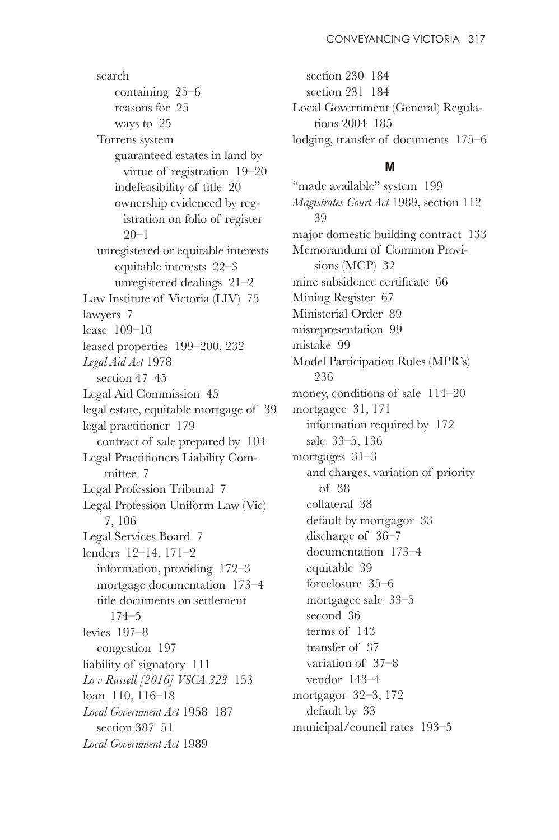search containing 25–6 reasons for 25 ways to 25 Torrens system guaranteed estates in land by virtue of registration 19–20 indefeasibility of title 20 ownership evidenced by registration on folio of register 20–1 unregistered or equitable interests equitable interests 22–3 unregistered dealings 21–2 Law Institute of Victoria (LIV) 75 lawyers 7 lease 109–10 leased properties 199–200, 232 *Legal Aid Act* 1978 section 47 45 Legal Aid Commission 45 legal estate, equitable mortgage of 39 legal practitioner 179 contract of sale prepared by 104 Legal Practitioners Liability Committee 7 Legal Profession Tribunal 7 Legal Profession Uniform Law (Vic) 7, 106 Legal Services Board 7 lenders 12–14, 171–2 information, providing 172–3 mortgage documentation 173–4 title documents on settlement 174–5 levies 197–8 congestion 197 liability of signatory 111 *Lo v Russell [2016] VSCA 323* 153 loan 110, 116–18 *Local Government Act* 1958 187 section 387 51 *Local Government Act* 1989

section 230 184 section 231 184 Local Government (General) Regulations 2004 185 lodging, transfer of documents 175–6

#### **M**

"made available" system 199 *Magistrates Court Act* 1989, section 112 39 major domestic building contract 133 Memorandum of Common Provisions (MCP) 32 mine subsidence certificate 66 Mining Register 67 Ministerial Order 89 misrepresentation 99 mistake 99 Model Participation Rules (MPR's) 236 money, conditions of sale 114–20 mortgagee 31, 171 information required by 172 sale 33–5, 136 mortgages 31–3 and charges, variation of priority of 38 collateral 38 default by mortgagor 33 discharge of 36–7 documentation 173–4 equitable 39 foreclosure 35–6 mortgagee sale 33–5 second 36 terms of 143 transfer of 37 variation of 37–8 vendor 143–4 mortgagor 32–3, 172 default by 33 municipal/council rates 193–5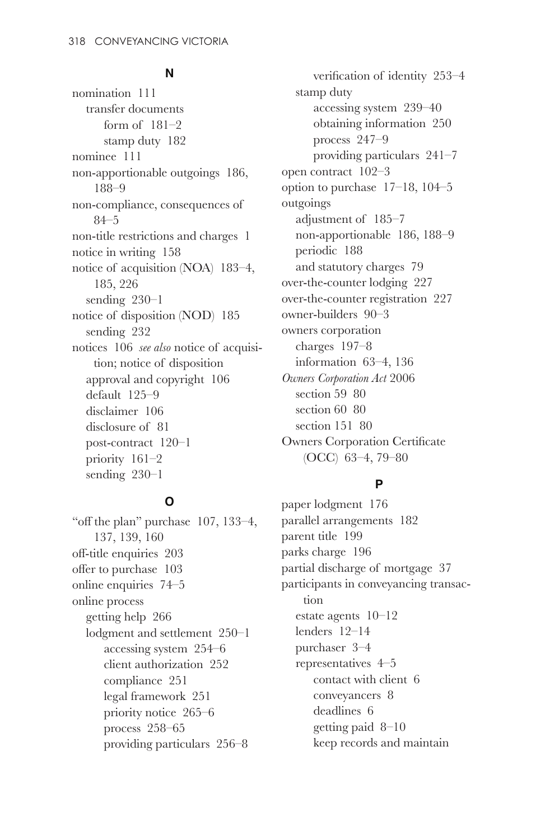#### **N**

nomination 111 transfer documents form of 181–2 stamp duty 182 nominee 111 non-apportionable outgoings 186, 188–9 non-compliance, consequences of 84–5 non-title restrictions and charges 1 notice in writing 158 notice of acquisition (NOA) 183–4, 185, 226 sending 230–1 notice of disposition (NOD) 185 sending 232 notices 106 *see also* notice of acquisition; notice of disposition approval and copyright 106 default 125–9 disclaimer 106 disclosure of 81 post-contract 120–1 priority 161–2 sending 230–1

#### **O**

" off the plan" purchase  $107, 133-4,$ 137, 139, 160  $off$ -title enquiries 203 offer to purchase  $103$ online enquiries 74–5 online process getting help 266 lodgment and settlement 250–1 accessing system 254–6 client authorization 252 compliance 251 legal framework 251 priority notice 265–6 process 258–65 providing particulars 256–8

verification of identity 253-4 stamp duty accessing system 239–40 obtaining information 250 process 247–9 providing particulars 241–7 open contract 102–3 option to purchase 17–18, 104–5 outgoings adjustment of 185–7 non-apportionable 186, 188–9 periodic 188 and statutory charges 79 over-the-counter lodging 227 over-the-counter registration 227 owner-builders 90–3 owners corporation charges 197–8 information 63–4, 136 *Owners Corporation Act* 2006 section 59 80 section 60 80 section 151 80 Owners Corporation Certificate (OCC) 63–4, 79–80

#### **P**

paper lodgment 176 parallel arrangements 182 parent title 199 parks charge 196 partial discharge of mortgage 37 participants in conveyancing transaction estate agents 10–12 lenders 12–14 purchaser 3–4 representatives 4–5 contact with client 6 conveyancers 8 deadlines 6 getting paid 8–10 keep records and maintain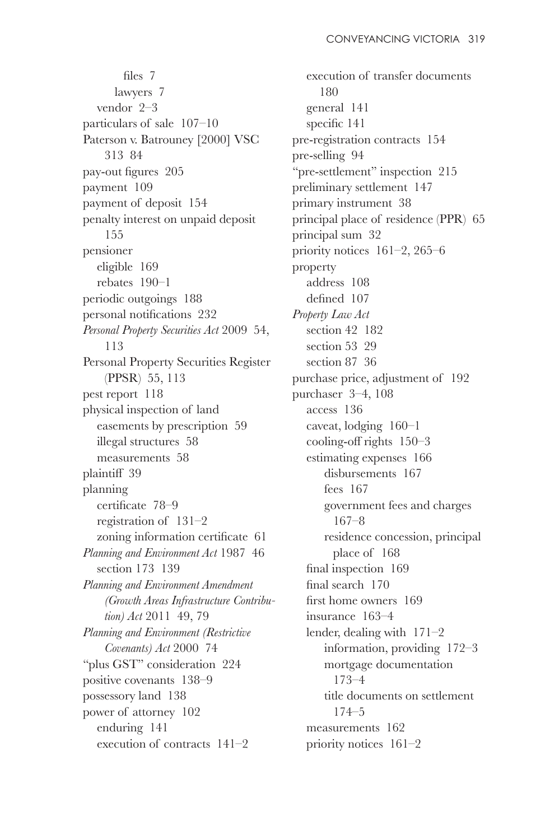files  $7$ lawyers 7 vendor 2–3 particulars of sale 107–10 Paterson v. Batrouney [2000] VSC 313 84 pay-out figures 205 payment 109 payment of deposit 154 penalty interest on unpaid deposit 155 pensioner eligible 169 rebates 190–1 periodic outgoings 188 personal notifications 232 *Personal Property Securities Act* 2009 54, 113 Personal Property Securities Register (PPSR) 55, 113 pest report 118 physical inspection of land easements by prescription 59 illegal structures 58 measurements 58 plaintiff 39 planning certificate 78-9 registration of 131–2 zoning information certificate 61 *Planning and Environment Act* 1987 46 section 173 139 *Planning and Environment Amendment (Growth Areas Infrastructure Contribution) Act* 2011 49, 79 *Planning and Environment (Restrictive Covenants) Act* 2000 74 "plus GST" consideration 224 positive covenants 138–9 possessory land 138 power of attorney 102 enduring 141 execution of contracts 141–2

execution of transfer documents 180 general 141 specific 141 pre-registration contracts 154 pre-selling 94 " $pre-setlement" inspection 215$ preliminary settlement 147 primary instrument 38 principal place of residence (PPR) 65 principal sum 32 priority notices 161–2, 265–6 property address 108 defined 107 *Property Law Act* section 42 182 section 53 29 section 87 36 purchase price, adjustment of 192 purchaser 3–4, 108 access 136 caveat, lodging 160–1 cooling-off rights  $150-3$ estimating expenses 166 disbursements 167 fees 167 government fees and charges 167–8 residence concession, principal place of 168 final inspection  $169$ final search  $170$ first home owners  $169$ insurance 163–4 lender, dealing with 171–2 information, providing 172–3 mortgage documentation 173–4 title documents on settlement 174–5 measurements 162 priority notices 161–2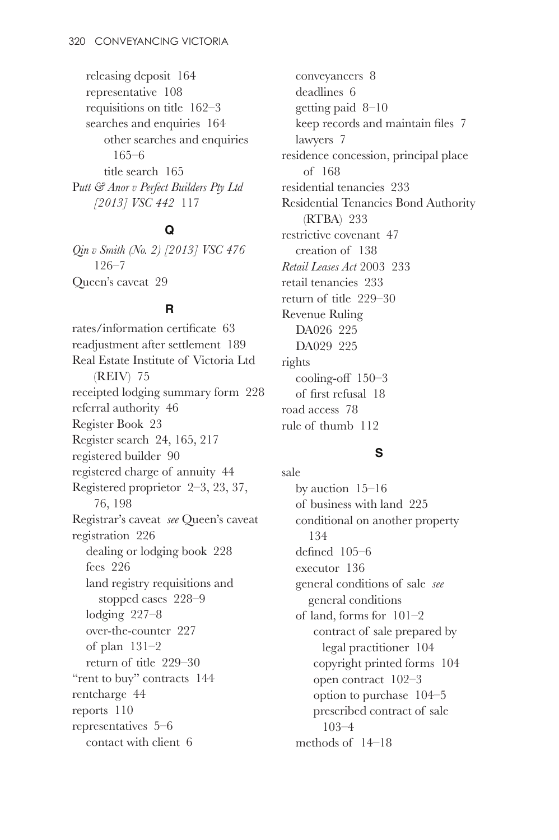releasing deposit 164 representative 108 requisitions on title 162–3 searches and enquiries 164 other searches and enquiries 165–6 title search 165 P*utt & Anor v Perfect Builders Pty Ltd [2013] VSC 442* 117

#### **Q**

*Qin v Smith (No. 2) [2013] VSC 476* 126–7 Queen's caveat 29

#### **R**

rates/information certificate 63 readjustment after settlement 189 Real Estate Institute of Victoria Ltd (REIV) 75 receipted lodging summary form 228 referral authority 46 Register Book 23 Register search 24, 165, 217 registered builder 90 registered charge of annuity 44 Registered proprietor 2–3, 23, 37, 76, 198 Registrar's caveat *see* Queen's caveat registration 226 dealing or lodging book 228 fees 226 land registry requisitions and stopped cases 228–9 lodging 227–8 over-the-counter 227 of plan 131–2 return of title 229–30 "rent to buy" contracts  $144$ rentcharge 44 reports 110 representatives 5–6 contact with client 6

conveyancers 8 deadlines 6 getting paid 8–10 keep records and maintain files 7 lawyers 7 residence concession, principal place of 168 residential tenancies 233 Residential Tenancies Bond Authority (RTBA) 233 restrictive covenant 47 creation of 138 *Retail Leases Act* 2003 233 retail tenancies 233 return of title 229–30 Revenue Ruling DA026 225 DA029 225 rights cooling-off  $150-3$ of first refusal  $18$ road access 78 rule of thumb 112

#### **S**

sale by auction 15–16 of business with land 225 conditional on another property 134 defined  $105-6$ executor 136 general conditions of sale *see*  general conditions of land, forms for 101–2 contract of sale prepared by legal practitioner 104 copyright printed forms 104 open contract 102–3 option to purchase 104–5 prescribed contract of sale 103–4 methods of 14–18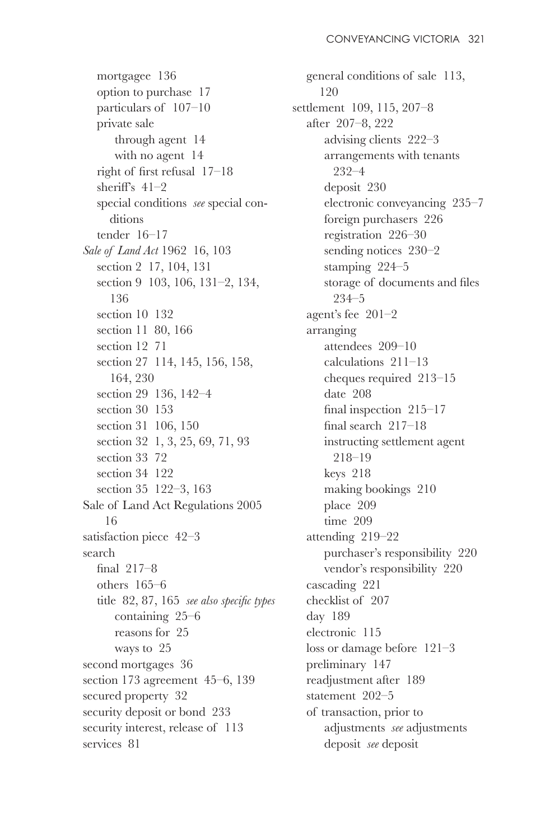mortgagee 136 option to purchase 17 particulars of 107–10 private sale through agent 14 with no agent 14 right of first refusal  $17-18$ sheriff's  $41-2$ special conditions *see* special conditions tender 16–17 *Sale of Land Act* 1962 16, 103 section 2 17, 104, 131 section 9 103, 106, 131–2, 134, 136 section 10 132 section 11 80, 166 section 12 71 section 27 114, 145, 156, 158, 164, 230 section 29 136, 142–4 section 30 153 section 31 106, 150 section 32 1, 3, 25, 69, 71, 93 section 33 72 section 34 122 section 35 122–3, 163 Sale of Land Act Regulations 2005 16 satisfaction piece 42–3 search final  $217-8$ others 165–6 title 82, 87, 165 *see also specific types* containing 25–6 reasons for 25 ways to 25 second mortgages 36 section 173 agreement 45–6, 139 secured property 32 security deposit or bond 233 security interest, release of 113 services 81

general conditions of sale 113, 120 settlement 109, 115, 207–8 after 207–8, 222 advising clients 222–3 arrangements with tenants 232–4 deposit 230 electronic conveyancing 235–7 foreign purchasers 226 registration 226–30 sending notices 230–2 stamping 224–5 storage of documents and files 234–5 agent's fee 201–2 arranging attendees 209–10 calculations 211–13 cheques required 213–15 date 208 final inspection  $215-17$ final search  $217-18$ instructing settlement agent 218–19 keys 218 making bookings 210 place 209 time 209 attending 219–22 purchaser's responsibility 220 vendor's responsibility 220 cascading 221 checklist of 207 day 189 electronic 115 loss or damage before 121–3 preliminary 147 readjustment after 189 statement 202–5 of transaction, prior to adjustments *see* adjustments deposit *see* deposit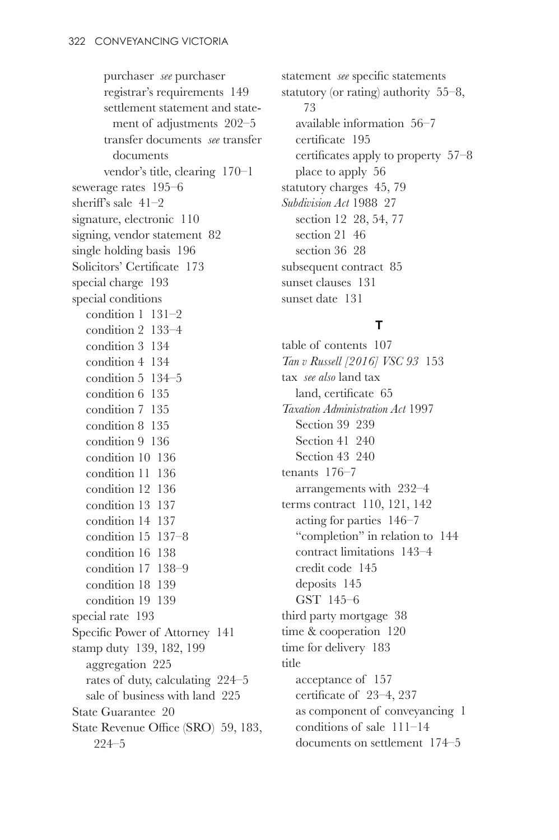purchaser *see* purchaser registrar's requirements 149 settlement statement and statement of adjustments 202–5 transfer documents *see* transfer documents vendor's title, clearing 170–1 sewerage rates 195–6 sheriff's sale  $41-2$ signature, electronic 110 signing, vendor statement 82 single holding basis 196 Solicitors' Certificate 173 special charge 193 special conditions condition 1 131–2 condition 2 133–4 condition 3 134 condition 4 134 condition 5 134–5 condition 6 135 condition 7 135 condition 8 135 condition 9 136 condition 10 136 condition 11 136 condition 12 136 condition 13 137 condition 14 137 condition 15 137–8 condition 16 138 condition 17 138–9 condition 18 139 condition 19 139 special rate 193 Specific Power of Attorney 141 stamp duty 139, 182, 199 aggregation 225 rates of duty, calculating 224–5 sale of business with land 225 State Guarantee 20 State Revenue Office (SRO) 59, 183. 224–5

statement *see* specific statements statutory (or rating) authority 55–8, 73 available information 56–7 certificate 195 certificates apply to property  $57-8$ place to apply 56 statutory charges 45, 79 *Subdivision Act* 1988 27 section 12 28, 54, 77 section 21 46 section 36 28 subsequent contract 85 sunset clauses 131 sunset date 131

#### **T**

table of contents 107 *Tan v Russell [2016] VSC 93* 153 tax *see also* land tax land, certificate 65 *Taxation Administration Act* 1997 Section 39 239 Section 41 240 Section 43 240 tenants 176–7 arrangements with 232–4 terms contract 110, 121, 142 acting for parties 146–7 "completion" in relation to  $144$ contract limitations 143–4 credit code 145 deposits 145 GST 145–6 third party mortgage 38 time & cooperation 120 time for delivery 183 title acceptance of 157 certificate of  $23-4$ , 237 as component of conveyancing 1 conditions of sale 111–14 documents on settlement 174–5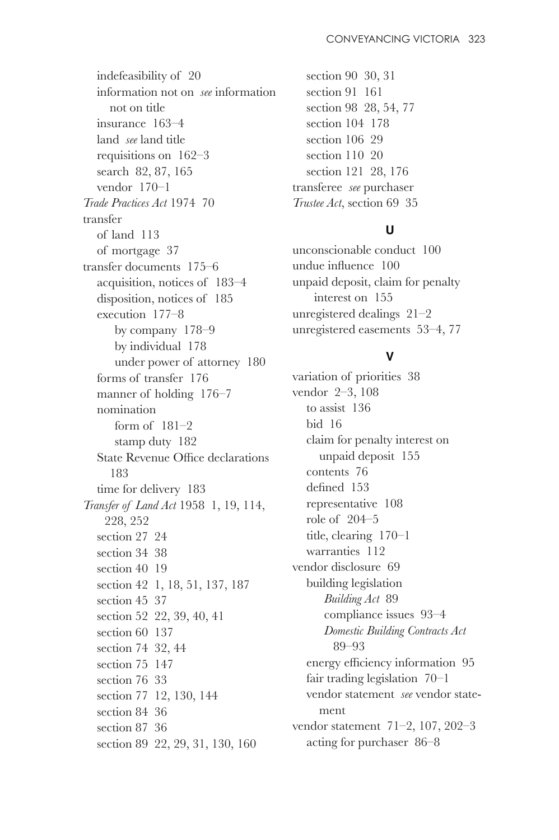indefeasibility of 20 information not on *see* information not on title insurance 163–4 land *see* land title requisitions on 162–3 search 82, 87, 165 vendor 170–1 *Trade Practices Act* 1974 70 transfer of land 113 of mortgage 37 transfer documents 175–6 acquisition, notices of 183–4 disposition, notices of 185 execution 177–8 by company 178–9 by individual 178 under power of attorney 180 forms of transfer 176 manner of holding 176–7 nomination form of 181–2 stamp duty 182 State Revenue Office declarations 183 time for delivery 183 *Transfer of Land Act* 1958 1, 19, 114, 228, 252 section 27 24 section 34 38 section 40 19 section 42 1, 18, 51, 137, 187 section 45 37 section 52 22, 39, 40, 41 section 60 137 section 74 32, 44 section 75 147 section 76 33 section 77 12, 130, 144 section 84 36 section 87 36 section 89 22, 29, 31, 130, 160

section 90 30, 31 section 91 161 section 98 28, 54, 77 section 104 178 section 106 29 section 110 20 section 121 28, 176 transferee *see* purchaser *Trustee Act*, section 69 35

#### **U**

unconscionable conduct 100 undue influence 100 unpaid deposit, claim for penalty interest on 155 unregistered dealings 21–2 unregistered easements 53–4, 77

#### **V**

variation of priorities 38 vendor 2–3, 108 to assist 136 bid 16 claim for penalty interest on unpaid deposit 155 contents 76 defined 153 representative 108 role of 204–5 title, clearing 170–1 warranties 112 vendor disclosure 69 building legislation *Building Act* 89 compliance issues 93–4 *Domestic Building Contracts Act* 89–93 energy efficiency information 95 fair trading legislation 70–1 vendor statement *see* vendor statement vendor statement 71–2, 107, 202–3 acting for purchaser 86–8